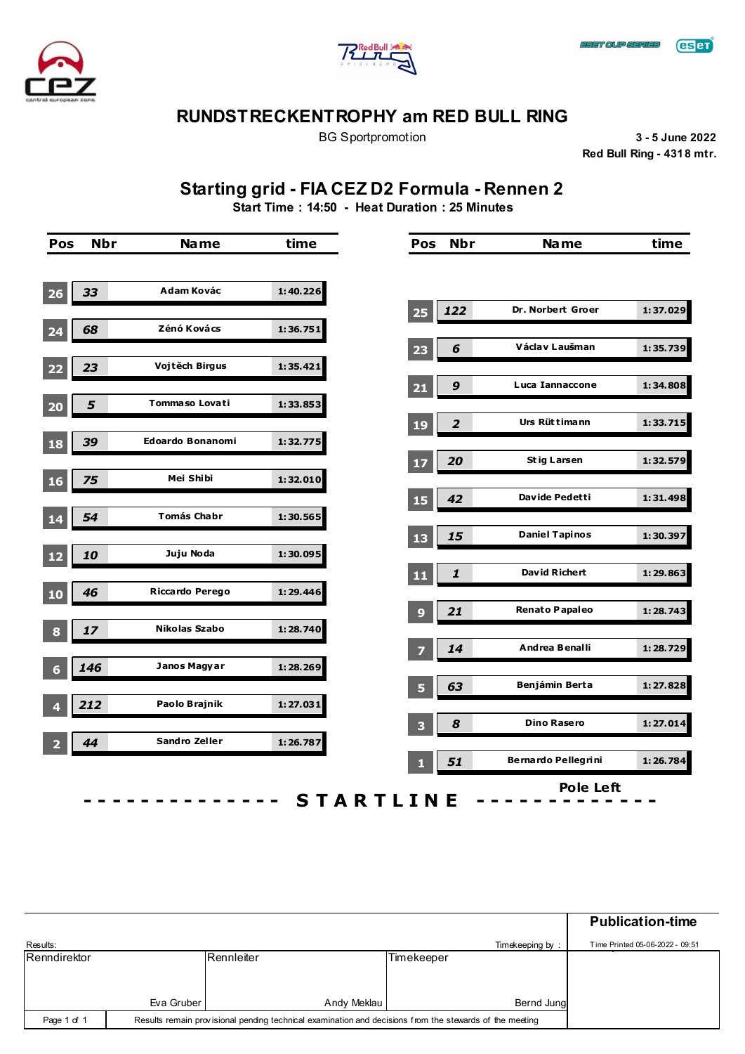





BG Sportpromotion **3 - 5 June 2022 Red Bull Ring - 4318 mtr.**

# **Starting grid - FIA CEZ D2 Formula - Rennen 2**

**Start Time : 14:50 - Heat Duration : 25 Minutes**

| Pos             | <b>Nbr</b> | <b>Name</b>        | time     | Pos                     | <b>Nbr</b>              | <b>Name</b>                | time     |
|-----------------|------------|--------------------|----------|-------------------------|-------------------------|----------------------------|----------|
|                 |            |                    |          |                         |                         |                            |          |
| 26              | 33         | Adam Kovác         | 1:40.226 |                         |                         |                            |          |
|                 |            |                    |          | 25                      | 122                     | <b>Dr. Norbert Groer</b>   | 1:37.029 |
| 24              | 68         | Zénó Kovács        | 1:36.751 | 23                      | 6                       | Václav Laušman             | 1:35.739 |
| 22              | 23         | Vojtěch Birgus     | 1:35.421 |                         |                         |                            |          |
|                 |            |                    |          | $21$                    | $\boldsymbol{9}$        | <b>Luca Iannaccone</b>     | 1:34.808 |
| 20              | 5          | Tommaso Lovati     | 1:33.853 |                         |                         | Urs Rüttimann              |          |
| 18              | 39         | Edoardo Bonanomi   | 1:32.775 | <b>19</b>               | $\overline{\mathbf{2}}$ |                            | 1:33.715 |
|                 |            |                    |          | 17                      | 20                      | <b>Stig Larsen</b>         | 1:32.579 |
| 16              | 75         | Mei Shibi          | 1:32.010 |                         |                         |                            |          |
|                 |            | <b>Tomás Chabr</b> |          | 15                      | 42                      | Davide Pedetti             | 1:31.498 |
| 14              | 54         |                    | 1:30.565 | 13                      | 15                      | <b>Daniel Tapinos</b>      | 1:30.397 |
| 12              | 10         | Juju Noda          | 1:30.095 |                         |                         |                            |          |
|                 |            |                    |          | 11                      | 1                       | David Richert              | 1:29.863 |
| 10              | 46         | Riccardo Perego    | 1:29.446 |                         |                         | <b>Renato Papaleo</b>      | 1:28.743 |
| $\bf{8}$        | 17         | Nikolas Szabo      | 1:28.740 | 9                       | 21                      |                            |          |
|                 |            |                    |          | 7                       | 14                      | Andrea Benalli             | 1:28.729 |
| $6\phantom{1}6$ | 146        | Janos Magyar       | 1:28.269 |                         |                         |                            |          |
|                 | 212        | Paolo Brajnik      | 1:27.031 | 5                       | 63                      | Benjámin Berta             | 1:27.828 |
| 4               |            |                    |          | $\overline{\mathbf{3}}$ | $\boldsymbol{s}$        | <b>Dino Rasero</b>         | 1:27.014 |
| 2               | 44         | Sandro Zeller      | 1:26.787 |                         |                         |                            |          |
|                 |            |                    |          | п                       | 51                      | <b>Bernardo Pellegrini</b> | 1:26.784 |

|              |                                                                                                         |             |            |                 | <b>Publication-time</b>         |
|--------------|---------------------------------------------------------------------------------------------------------|-------------|------------|-----------------|---------------------------------|
| Results:     |                                                                                                         |             |            | Timekeeping by: | Time Printed 05-06-2022 - 09:51 |
| Renndirektor |                                                                                                         | Rennleiter  | Timekeeper |                 |                                 |
|              | Eva Gruber                                                                                              | Andy Meklau |            | Bernd Jung      |                                 |
|              |                                                                                                         |             |            |                 |                                 |
| Page 1 of 1  | Results remain provisional pending technical examination and decisions from the stewards of the meeting |             |            |                 |                                 |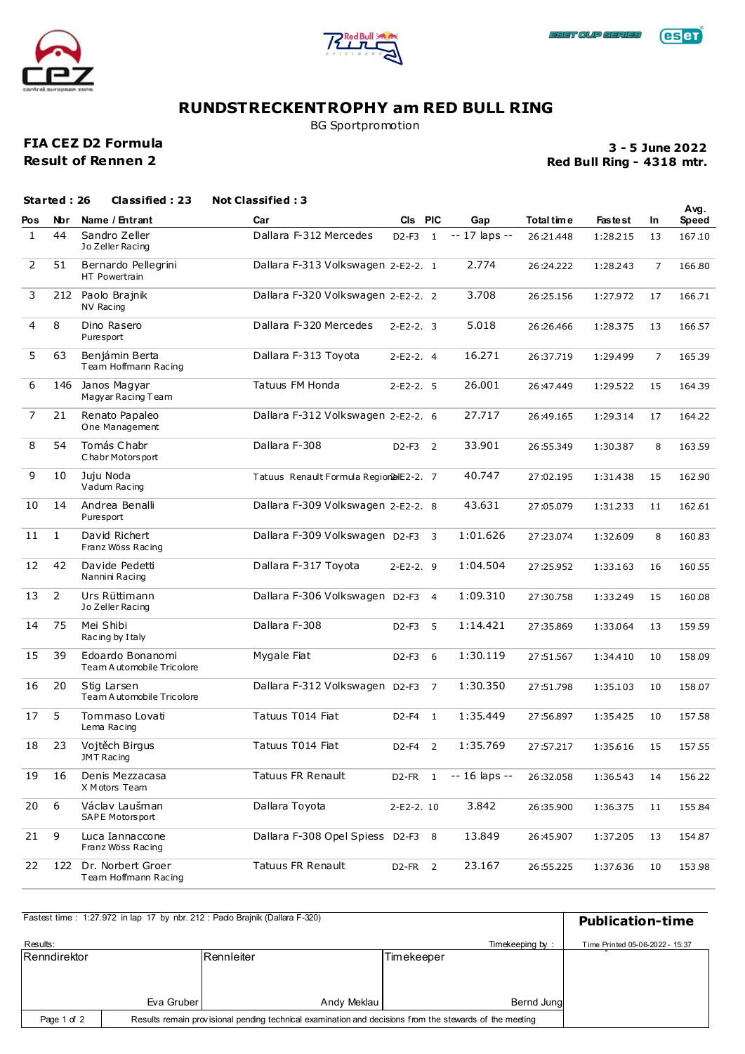





BG Sportpromotion

### **FIA CEZ D2 Formula Result of Rennen 2**

**Red Bull Ring - 4318 mtr. 3 - 5 June 2022**

|     | Started: 26    | <b>Classified: 23</b>                         | <b>Not Classified: 3</b>                |             |                |                |             |                |    | Avg.   |
|-----|----------------|-----------------------------------------------|-----------------------------------------|-------------|----------------|----------------|-------------|----------------|----|--------|
| Pos | <b>Nbr</b>     | Name / Entrant                                | Car                                     | CIs PIC     |                | Gap            | Total tim e | <b>Fastest</b> | In | Speed  |
| 1   | 44             | Sandro Zeller<br>Jo Zeller Racing             | Dallara F-312 Mercedes                  | $D2-F3$     | $\mathbf{1}$   | -- 17 laps --  | 26:21.448   | 1:28.215       | 13 | 167.10 |
| 2   | 51             | Bernardo Pellegrini<br>HT Powertrain          | Dallara F-313 Volkswagen 2-E2-2. 1      |             |                | 2.774          | 26:24.222   | 1:28.243       | 7  | 166.80 |
| 3   | 212            | Paolo Brajnik<br>NV Racing                    | Dallara F-320 Volkswagen 2-E2-2. 2      |             |                | 3.708          | 26:25.156   | 1:27.972       | 17 | 166.71 |
| 4   | 8              | Dino Rasero<br>Puresport                      | Dallara F-320 Mercedes                  | $2-E2-2.3$  |                | 5.018          | 26:26.466   | 1:28.375       | 13 | 166.57 |
| 5   | 63             | Benjámin Berta<br>Team Hoffmann Racing        | Dallara F-313 Toyota                    | $2-E2-2.4$  |                | 16.271         | 26:37.719   | 1:29.499       | 7  | 165.39 |
| 6   | 146            | Janos Magyar<br>Magyar Racing Team            | Tatuus FM Honda                         | $2-E2-2.5$  |                | 26.001         | 26:47.449   | 1:29.522       | 15 | 164.39 |
| 7   | 21             | Renato Papaleo<br>One Management              | Dallara F-312 Volkswagen 2-E2-2. 6      |             |                | 27.717         | 26:49.165   | 1:29.314       | 17 | 164.22 |
| 8   | 54             | Tomás Chabr<br>Chabr Motors port              | Dallara F-308                           | D2-F3 2     |                | 33.901         | 26:55.349   | 1:30.387       | 8  | 163.59 |
| 9   | 10             | Juju Noda<br>Vadum Racing                     | Tatuus Renault Formula Region2alE2-2. 7 |             |                | 40.747         | 27:02.195   | 1:31.438       | 15 | 162.90 |
| 10  | 14             | Andrea Benalli<br>Puresport                   | Dallara F-309 Volkswagen 2-E2-2. 8      |             |                | 43.631         | 27:05.079   | 1:31.233       | 11 | 162.61 |
| 11  | $\mathbf{1}$   | David Richert<br>Franz Wöss Racing            | Dallara F-309 Volkswagen D2-F3          |             | 3              | 1:01.626       | 27:23.074   | 1:32.609       | 8  | 160.83 |
| 12  | 42             | Davide Pedetti<br>Nannini Racing              | Dallara F-317 Toyota                    | $2-E2-2.9$  |                | 1:04.504       | 27:25.952   | 1:33.163       | 16 | 160.55 |
| 13  | $\overline{2}$ | Urs Rüttimann<br>Jo Zeller Racing             | Dallara F-306 Volkswagen D2-F3 4        |             |                | 1:09.310       | 27:30.758   | 1:33.249       | 15 | 160.08 |
| 14  | 75             | Mei Shibi<br>Racing by I taly                 | Dallara F-308                           | $D2-F3$     | 5              | 1:14.421       | 27:35.869   | 1:33.064       | 13 | 159.59 |
| 15  | 39             | Edoardo Bonanomi<br>Team Automobile Tricolore | Mygale Fiat                             | D2-F3 6     |                | 1:30.119       | 27:51.567   | 1:34.410       | 10 | 158.09 |
| 16  | 20             | Stig Larsen<br>Team A utomobile Tricolore     | Dallara F-312 Volkswagen D2-F3          |             | $\overline{7}$ | 1:30.350       | 27:51.798   | 1:35.103       | 10 | 158.07 |
| 17  | 5.             | Tommaso Lovati<br>Lema Racing                 | Tatuus T014 Fiat                        | D2-F4       | $\overline{1}$ | 1:35.449       | 27:56.897   | 1:35.425       | 10 | 157.58 |
| 18  | 23             | Vojtěch Birgus<br>JMT Racing                  | Tatuus T014 Fiat                        | D2-F4 2     |                | 1:35.769       | 27:57.217   | 1:35.616       | 15 | 157.55 |
| 19  | 16             | Denis Mezzacasa<br>X Motors Team              | Tatuus FR Renault                       | D2-FR 1     |                | $-16$ laps $-$ | 26:32.058   | 1:36.543       | 14 | 156.22 |
| 20  | 6              | Václav Laušman<br>SAPE Motorsport             | Dallara Toyota                          | $2-E2-2.10$ |                | 3.842          | 26:35.900   | 1:36.375       | 11 | 155.84 |
| 21  | 9              | Luca Iannaccone<br>Franz Wöss Racing          | Dallara F-308 Opel Spiess D2-F3 8       |             |                | 13.849         | 26:45.907   | 1:37.205       | 13 | 154.87 |
| 22  | 122            | Dr. Norbert Groer<br>Team Hoffmann Racing     | Tatuus FR Renault                       | D2-FR 2     |                | 23.167         | 26:55.225   | 1:37.636       | 10 | 153.98 |

|              |                                                                                                         | Fastest time: 1:27.972 in lap 17 by nbr. 212: Pado Brainik (Dallara F-320) |            |                 | <b>Publication-time</b>         |  |  |  |  |  |  |  |
|--------------|---------------------------------------------------------------------------------------------------------|----------------------------------------------------------------------------|------------|-----------------|---------------------------------|--|--|--|--|--|--|--|
| Results:     |                                                                                                         |                                                                            |            | Timekeeping by: | Time Printed 05-06-2022 - 15:37 |  |  |  |  |  |  |  |
| Renndirektor |                                                                                                         | Rennleiter                                                                 | Timekeeper |                 |                                 |  |  |  |  |  |  |  |
|              |                                                                                                         |                                                                            |            |                 |                                 |  |  |  |  |  |  |  |
|              |                                                                                                         |                                                                            |            |                 |                                 |  |  |  |  |  |  |  |
|              | Eva Gruber                                                                                              | Andy Meklau                                                                |            | Bernd Jung      |                                 |  |  |  |  |  |  |  |
| Page 1 of 2  | Results remain provisional pending technical examination and decisions from the stewards of the meeting |                                                                            |            |                 |                                 |  |  |  |  |  |  |  |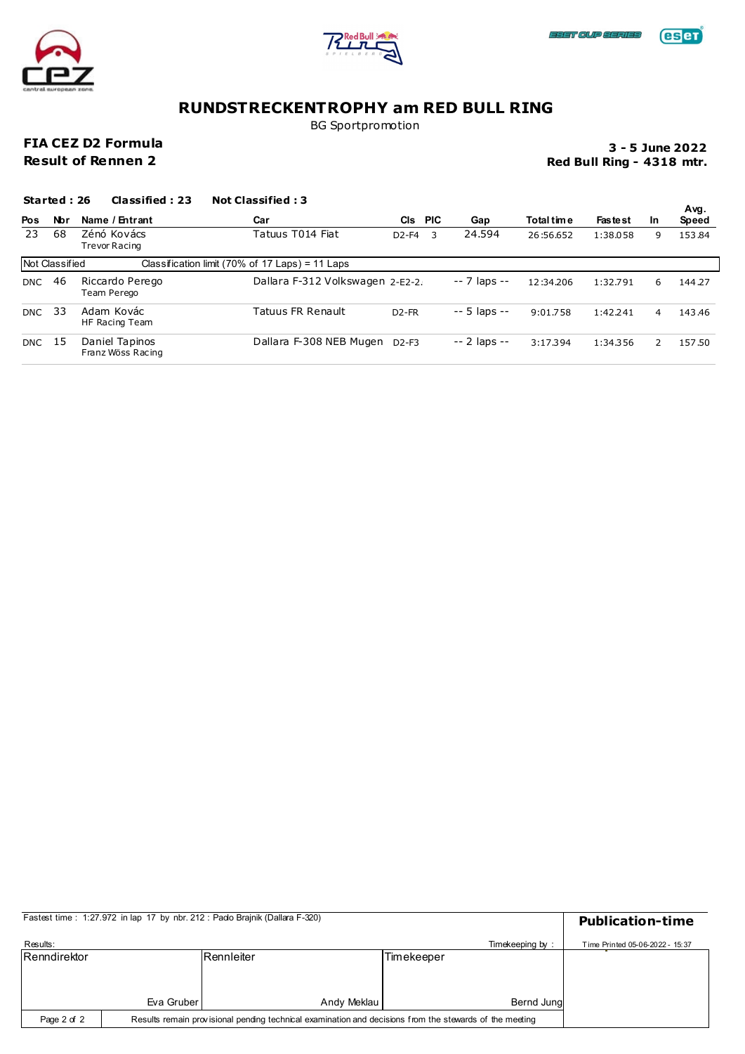





BG Sportpromotion

### **FIA CEZ D2 Formula Result of Rennen 2**

**Red Bull Ring - 4318 mtr. 3 - 5 June 2022**

|            | Started: 26    | Classified: 23                      | <b>Not Classified: 3</b>                        |                    |   |               |            |                |               |               |
|------------|----------------|-------------------------------------|-------------------------------------------------|--------------------|---|---------------|------------|----------------|---------------|---------------|
| <b>Pos</b> | Nbr            | Name / Entrant                      | Car                                             | CIS PIC            |   | Gap           | Total time | <b>Fastest</b> | <b>In</b>     | Avg.<br>Speed |
| 23         | 68             | Zénó Kovács<br><b>Trevor Racing</b> | Tatuus T014 Fiat                                | $D2-F4$            | 3 | 24.594        | 26:56.652  | 1:38.058       | 9             | 153.84        |
|            | Not Classified |                                     | Classification limit (70% of 17 Laps) = 11 Laps |                    |   |               |            |                |               |               |
| <b>DNC</b> | 46             | Riccardo Perego<br>Team Perego      | Dallara F-312 Volkswagen 2-E2-2.                |                    |   | $-7$ laps $-$ | 12:34.206  | 1:32.791       | 6             | 144.27        |
| <b>DNC</b> | - 33           | Adam Kovác<br>HF Racing Team        | Tatuus FR Renault                               | D <sub>2</sub> -FR |   | $-5$ laps $-$ | 9:01.758   | 1:42.241       | 4             | 143.46        |
| DNC 15     |                | Daniel Tapinos<br>Franz Wöss Racing | Dallara F-308 NEB Mugen                         | $D2-F3$            |   | $-2$ laps $-$ | 3:17.394   | 1:34.356       | $\mathcal{P}$ | 157.50        |

|              |                                                                                                         | Fastest time: 1:27.972 in lap 17 by nbr. 212: Pado Brajnik (Dallara F-320) |            |                 | <b>Publication-time</b>         |
|--------------|---------------------------------------------------------------------------------------------------------|----------------------------------------------------------------------------|------------|-----------------|---------------------------------|
| Results:     |                                                                                                         |                                                                            |            | Timekeeping by: | Time Printed 05-06-2022 - 15:37 |
| Renndirektor |                                                                                                         | Rennleiter                                                                 | Timekeeper |                 |                                 |
|              |                                                                                                         |                                                                            |            |                 |                                 |
|              |                                                                                                         |                                                                            |            |                 |                                 |
|              | Eva Gruber                                                                                              | Andy Meklau                                                                |            | Bernd Jung      |                                 |
| Page 2 of 2  | Results remain provisional pending technical examination and decisions from the stewards of the meeting |                                                                            |            |                 |                                 |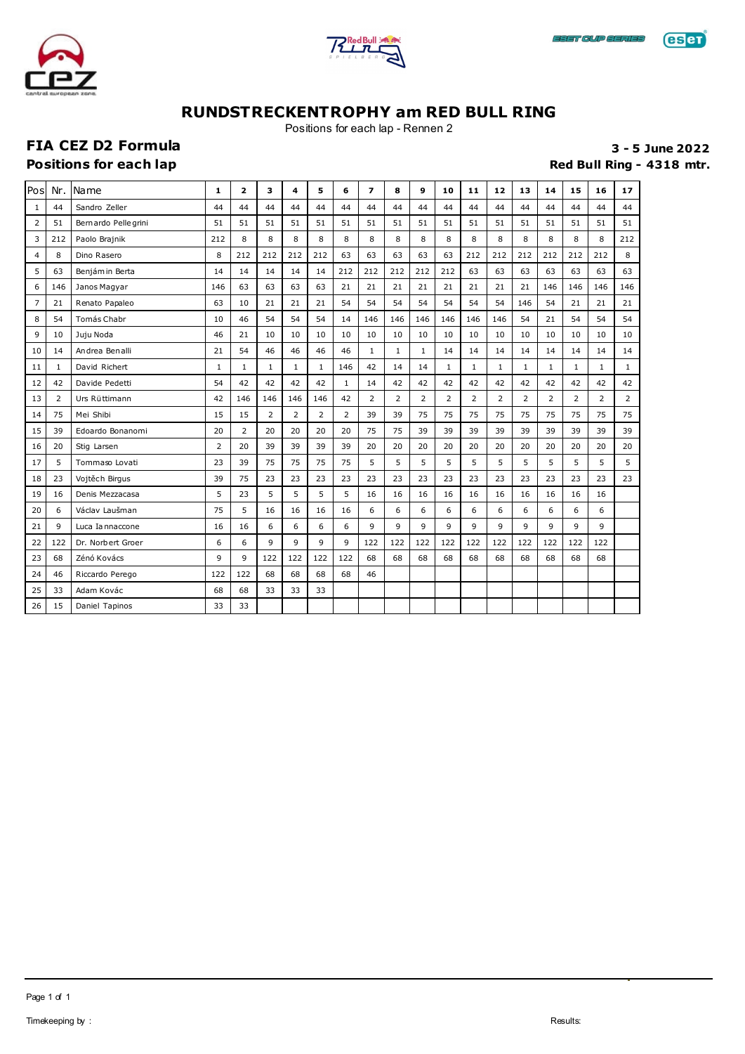





Positions for each lap - Rennen 2

# **FIA CEZ D2 Formula 3 - 5 June 2022**

**Positions for each lap Red Bull Ring - 4318 mtr.** 

| Pos            | Nr.          | Name                | 1              | $\overline{\mathbf{z}}$ | 3              | 4              | 5              | 6              | $\overline{ }$ | 8            | 9              | 10             | 11           | 12             | 13             | 14             | 15             | 16             | 17             |
|----------------|--------------|---------------------|----------------|-------------------------|----------------|----------------|----------------|----------------|----------------|--------------|----------------|----------------|--------------|----------------|----------------|----------------|----------------|----------------|----------------|
| 1              | 44           | Sandro Zeller       | 44             | 44                      | 44             | 44             | 44             | 44             | 44             | 44           | 44             | 44             | 44           | 44             | 44             | 44             | 44             | 44             | 44             |
| $\overline{2}$ | 51           | Bernardo Pellegrini | 51             | 51                      | 51             | 51             | 51             | 51             | 51             | 51           | 51             | 51             | 51           | 51             | 51             | 51             | 51             | 51             | 51             |
| 3              | 212          | Paolo Brajnik       | 212            | 8                       | 8              | 8              | 8              | 8              | 8              | 8            | 8              | 8              | 8            | 8              | 8              | 8              | 8              | 8              | 212            |
| 4              | 8            | Dino Rasero         | 8              | 212                     | 212            | 212            | 212            | 63             | 63             | 63           | 63             | 63             | 212          | 212            | 212            | 212            | 212            | 212            | 8              |
| 5              | 63           | Benjám in Berta     | 14             | 14                      | 14             | 14             | 14             | 212            | 212            | 212          | 212            | 212            | 63           | 63             | 63             | 63             | 63             | 63             | 63             |
| 6              | 146          | Janos Magyar        | 146            | 63                      | 63             | 63             | 63             | 21             | 21             | 21           | 21             | 21             | 21           | 21             | 21             | 146            | 146            | 146            | 146            |
| $\overline{7}$ | 21           | Renato Papaleo      | 63             | 10                      | 21             | 21             | 21             | 54             | 54             | 54           | 54             | 54             | 54           | 54             | 146            | 54             | 21             | 21             | 21             |
| 8              | 54           | Tomás Chabr         | 10             | 46                      | 54             | 54             | 54             | 14             | 146            | 146          | 146            | 146            | 146          | 146            | 54             | 21             | 54             | 54             | 54             |
| 9              | 10           | Juju Noda           | 46             | 21                      | 10             | 10             | 10             | 10             | 10             | 10           | 10             | 10             | 10           | 10             | 10             | 10             | 10             | 10             | 10             |
| 10             | 14           | Andrea Benalli      | 21             | 54                      | 46             | 46             | 46             | 46             | $\mathbf{1}$   | $\mathbf{1}$ | $\mathbf{1}$   | 14             | 14           | 14             | 14             | 14             | 14             | 14             | 14             |
| 11             | $\mathbf{1}$ | David Richert       | $\mathbf{1}$   | $\mathbf{1}$            | $\mathbf{1}$   | $\mathbf{1}$   | $\mathbf{1}$   | 146            | 42             | 14           | 14             | $\mathbf{1}$   | $\mathbf{1}$ | $\mathbf{1}$   | $\mathbf{1}$   | $\mathbf{1}$   | $\mathbf{1}$   | $\mathbf{1}$   | $\mathbf{1}$   |
| 12             | 42           | Davide Pedetti      | 54             | 42                      | 42             | 42             | 42             | $\mathbf{1}$   | 14             | 42           | 42             | 42             | 42           | 42             | 42             | 42             | 42             | 42             | 42             |
| 13             | 2            | Urs Rüttimann       | 42             | 146                     | 146            | 146            | 146            | 42             | $\overline{2}$ | 2            | $\overline{2}$ | $\overline{2}$ | 2            | $\overline{2}$ | $\overline{2}$ | $\overline{2}$ | $\overline{2}$ | $\overline{2}$ | $\overline{2}$ |
| 14             | 75           | Mei Shibi           | 15             | 15                      | $\overline{2}$ | $\overline{2}$ | $\overline{2}$ | $\overline{2}$ | 39             | 39           | 75             | 75             | 75           | 75             | 75             | 75             | 75             | 75             | 75             |
| 15             | 39           | Edoardo Bonanomi    | 20             | $\overline{2}$          | 20             | 20             | 20             | 20             | 75             | 75           | 39             | 39             | 39           | 39             | 39             | 39             | 39             | 39             | 39             |
| 16             | 20           | Stig Larsen         | $\overline{2}$ | 20                      | 39             | 39             | 39             | 39             | 20             | 20           | 20             | 20             | 20           | 20             | 20             | 20             | 20             | 20             | 20             |
| 17             | 5            | Tommaso Lovati      | 23             | 39                      | 75             | 75             | 75             | 75             | 5              | 5            | 5              | 5              | 5            | 5              | 5              | 5              | 5              | 5              | 5              |
| 18             | 23           | Vojtěch Birgus      | 39             | 75                      | 23             | 23             | 23             | 23             | 23             | 23           | 23             | 23             | 23           | 23             | 23             | 23             | 23             | 23             | 23             |
| 19             | 16           | Denis Mezzacasa     | 5              | 23                      | 5              | 5              | 5              | 5              | 16             | 16           | 16             | 16             | 16           | 16             | 16             | 16             | 16             | 16             |                |
| 20             | 6            | Václav Laušman      | 75             | 5                       | 16             | 16             | 16             | 16             | 6              | 6            | 6              | 6              | 6            | 6              | 6              | 6              | 6              | 6              |                |
| 21             | 9            | Luca Iannaccone     | 16             | 16                      | 6              | 6              | 6              | 6              | 9              | 9            | 9              | 9              | 9            | 9              | 9              | 9              | 9              | 9              |                |
| 22             | 122          | Dr. Norbert Groer   | 6              | 6                       | 9              | 9              | 9              | 9              | 122            | 122          | 122            | 122            | 122          | 122            | 122            | 122            | 122            | 122            |                |
| 23             | 68           | Zénó Kovács         | 9              | 9                       | 122            | 122            | 122            | 122            | 68             | 68           | 68             | 68             | 68           | 68             | 68             | 68             | 68             | 68             |                |
| 24             | 46           | Riccardo Perego     | 122            | 122                     | 68             | 68             | 68             | 68             | 46             |              |                |                |              |                |                |                |                |                |                |
| 25             | 33           | Adam Kovác          | 68             | 68                      | 33             | 33             | 33             |                |                |              |                |                |              |                |                |                |                |                |                |
| 26             | 15           | Daniel Tapinos      | 33             | 33                      |                |                |                |                |                |              |                |                |              |                |                |                |                |                |                |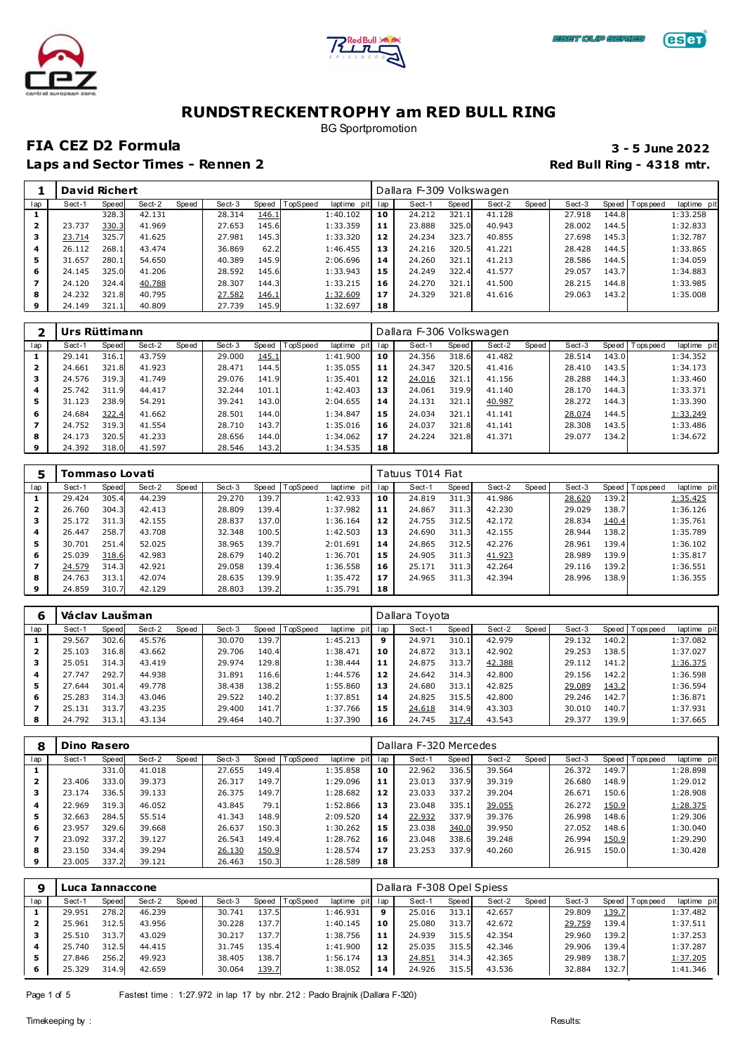





BG Sportpromotion

### **FIA CEZ D2 Formula 3 - 5 June 2022**

|     | <b>David Richert</b> |       |        |       |        |       |         |             |     | Dallara F-309 Volkswagen |       |        |       |        |       |                 |             |
|-----|----------------------|-------|--------|-------|--------|-------|---------|-------------|-----|--------------------------|-------|--------|-------|--------|-------|-----------------|-------------|
| lap | Sect-1               | Speed | Sect-2 | Speed | Sect-3 | Speed | opSpeed | laptime pit | lap | Sect-1                   | Speed | Sect-2 | Speed | Sect-3 |       | Speed Tops peed | laptime pit |
|     |                      | 328.3 | 42.131 |       | 28.314 | 146.1 |         | 1:40.102    | 10  | 24.212                   | 321.1 | 41.128 |       | 27.918 | 144.8 |                 | 1:33.258    |
|     | 23.737               | 330.3 | 41.969 |       | 27.653 | 145.6 |         | 1:33.359    | 11  | 23.888                   | 325.0 | 40.943 |       | 28.002 | 144.5 |                 | 1:32.833    |
|     | 23.714               | 325.7 | 41.625 |       | 27.981 | 145.3 |         | 1:33.320    | 12  | 24.234                   | 323.7 | 40.855 |       | 27.698 | 145.3 |                 | 1:32.787    |
| 4   | 26.112               | 268.1 | 43.474 |       | 36.869 | 62.2  |         | 1:46.455    | 13  | 24.216                   | 320.5 | 41.221 |       | 28.428 | 144.5 |                 | 1:33.865    |
| 5   | 31.657               | 280.1 | 54.650 |       | 40.389 | 145.9 |         | 2:06.696    | 14  | 24.260                   | 321.1 | 41.213 |       | 28.586 | 144.5 |                 | 1:34.059    |
| 6   | 24.145               | 325.0 | 41.206 |       | 28.592 | 145.6 |         | 1:33.943    | 15  | 24.249                   | 322.4 | 41.577 |       | 29.057 | 143.7 |                 | 1:34.883    |
|     | 24.120               | 324.4 | 40.788 |       | 28.307 | 144.3 |         | 1:33.215    | 16  | 24.270                   | 321.1 | 41.500 |       | 28.215 | 144.8 |                 | 1:33.985    |
| 8   | 24.232               | 321.8 | 40.795 |       | 27.582 | 146.1 |         | 1:32.609    | 17  | 24.329                   | 321.8 | 41.616 |       | 29.063 | 143.2 |                 | 1:35.008    |
| 9   | 24.149               | 321.1 | 40.809 |       | 27.739 | 145.9 |         | 1:32.697    | 18  |                          |       |        |       |        |       |                 |             |

|     | Urs Rüttimann |       |        |       |        |           |          |             |     | Dallara F-306 Volkswagen |       |        |       |        |       |                 |             |
|-----|---------------|-------|--------|-------|--------|-----------|----------|-------------|-----|--------------------------|-------|--------|-------|--------|-------|-----------------|-------------|
| lap | Sect-1        | Speed | Sect-2 | Speed | Sect-3 | Speed   T | TopSpeed | laptime pit | lap | Sect-1                   | Speed | Sect-2 | Speed | Sect-3 |       | Speed Tops peed | laptime pit |
|     | 29.141        | 316.1 | 43.759 |       | 29,000 | 145.1     |          | 1:41.900    | 10  | 24.356                   | 318.6 | 41.482 |       | 28.514 | 143.0 |                 | 1:34.352    |
| 2   | 24.661        | 321.8 | 41.923 |       | 28.471 | 144.5     |          | 1:35.055    | 11  | 24.347                   | 320.5 | 41.416 |       | 28,410 | 143.5 |                 | 1:34.173    |
| з   | 24.576        | 319.3 | 41.749 |       | 29.076 | 141.9     |          | 1:35.401    | 12  | 24.016                   | 321.1 | 41.156 |       | 28.288 | 144.3 |                 | 1:33.460    |
| 4   | 25.742        | 311.9 | 44.417 |       | 32.244 | 101.1     |          | 1:42.403    | 13  | 24.061                   | 319.9 | 41.140 |       | 28.170 | 144.3 |                 | 1:33.371    |
| 5.  | 31.123        | 238.9 | 54.291 |       | 39.241 | 143.0     |          | 2:04.655    | 14  | 24.131                   | 321.1 | 40.987 |       | 28.272 | 144.3 |                 | 1:33.390    |
| 6   | 24.684        | 322.4 | 41.662 |       | 28.501 | 144.0     |          | 1:34.847    | 15  | 24.034                   | 321.1 | 41.141 |       | 28.074 | 144.5 |                 | 1:33.249    |
|     | 24.752        | 319.3 | 41.554 |       | 28.710 | 143.7     |          | 1:35.016    | 16  | 24.037                   | 321.8 | 41.141 |       | 28.308 | 143.5 |                 | 1:33.486    |
| 8   | 24.173        | 320.5 | 41.233 |       | 28.656 | 144.0     |          | 1:34.062    | 17  | 24.224                   | 321.8 | 41.371 |       | 29.077 | 134.2 |                 | 1:34.672    |
| 9   | 24.392        | 318.0 | 41.597 |       | 28.546 | 143.2     |          | 1:34.535    | 18  |                          |       |        |       |        |       |                 |             |

|     | Tommaso Lovati |       |        |       |        |       |                 |             |     | Tatuus T014 Fiat |       |        |       |        |       |                 |             |
|-----|----------------|-------|--------|-------|--------|-------|-----------------|-------------|-----|------------------|-------|--------|-------|--------|-------|-----------------|-------------|
| lap | Sect-1         | Speed | Sect-2 | Speed | Sect-3 | Speed | <b>TopSpeed</b> | laptime pit | lap | Sect-1           | Speed | Sect-2 | Speed | Sect-3 |       | Speed Tops peed | laptime pit |
|     | 29.424         | 305.4 | 44.239 |       | 29.270 | 139.7 |                 | 1:42.933    | 10  | 24.819           | 311.3 | 41.986 |       | 28.620 | 139.2 |                 | 1:35.425    |
| 2   | 26.760         | 304.3 | 42.413 |       | 28,809 | 139.4 |                 | 1:37.982    | 11  | 24.867           | 311.3 | 42.230 |       | 29.029 | 138.7 |                 | 1:36.126    |
| з   | 25.172         | 311.3 | 42.155 |       | 28.837 | 137.0 |                 | 1:36.164    | 12  | 24.755           | 312.5 | 42.172 |       | 28.834 | 140.4 |                 | 1:35.761    |
| 4   | 26.447         | 258.7 | 43.708 |       | 32.348 | 100.5 |                 | 1:42.503    | 13  | 24.690           | 311.3 | 42.155 |       | 28.944 | 138.2 |                 | 1:35.789    |
| 5.  | 30.701         | 251.4 | 52.025 |       | 38.965 | 139.7 |                 | 2:01.691    | 14  | 24.865           | 312.5 | 42.276 |       | 28.961 | 139.4 |                 | 1:36.102    |
| 6   | 25.039         | 318.6 | 42.983 |       | 28.679 | 140.2 |                 | 1:36.701    | 15  | 24.905           | 311.3 | 41.923 |       | 28.989 | 139.9 |                 | 1:35.817    |
|     | 24.579         | 314.3 | 42.921 |       | 29.058 | 139.4 |                 | 1:36.558    | 16  | 25.171           | 311.3 | 42.264 |       | 29.116 | 139.2 |                 | 1:36.551    |
| 8   | 24.763         | 313.1 | 42.074 |       | 28.635 | 139.9 |                 | 1:35.472    | 17  | 24.965           | 311.3 | 42.394 |       | 28.996 | 138.9 |                 | 1:36.355    |
| 9   | 24.859         | 310.7 | 42.129 |       | 28.803 | 139.2 |                 | 1:35.791    | 18  |                  |       |        |       |        |       |                 |             |

|     | Václav Laušman |       |        |       |        |       |          |                |     | Dallara Toyota |       |        |       |        |       |                 |             |
|-----|----------------|-------|--------|-------|--------|-------|----------|----------------|-----|----------------|-------|--------|-------|--------|-------|-----------------|-------------|
| lap | Sect-1         | Speed | Sect-2 | Speed | Sect-3 | Speed | TopSpeed | laptime<br>pit | lap | Sect-1         | Speed | Sect-2 | Speed | Sect-3 |       | Speed Tops peed | laptime pit |
|     | 29.567         | 302.6 | 45.576 |       | 30.070 | 139.7 |          | 1:45.213       | 9   | 24.971         | 310.1 | 42.979 |       | 29.132 | 140.2 |                 | 1:37.082    |
| 2   | 25.103         | 316.8 | 43.662 |       | 29.706 | 140.4 |          | 1:38.471       | 10  | 24.872         | 313.1 | 42.902 |       | 29.253 | 138.5 |                 | 1:37.027    |
| з   | 25.051         | 314.3 | 43.419 |       | 29.974 | 129.8 |          | 1:38.444       | 11  | 24.875         | 313.7 | 42.388 |       | 29.112 | 141.2 |                 | 1:36.375    |
| 4   | 27.747         | 292.7 | 44.938 |       | 31.891 | 116.6 |          | 1:44.576       | 12  | 24.642         | 314.3 | 42.800 |       | 29.156 | 142.2 |                 | 1:36.598    |
| 5   | 27.644         | 301.4 | 49.778 |       | 38.438 | 138.2 |          | 1:55.860       | 13  | 24.680         | 313.1 | 42.825 |       | 29.089 | 143.2 |                 | 1:36.594    |
| 6   | 25.283         | 314.3 | 43.046 |       | 29.522 | 140.2 |          | 1:37.851       | 14  | 24.825         | 315.5 | 42.800 |       | 29.246 | 142.7 |                 | 1:36.871    |
|     | 25.131         | 313.7 | 43.235 |       | 29.400 | 141.7 |          | 1:37.766       | 15  | 24.618         | 314.9 | 43.303 |       | 30.010 | 140.7 |                 | 1:37.931    |
| 8   | 24.792         | 313.1 | 43.134 |       | 29.464 | 140.7 |          | 1:37.390       | 16  | 24.745         | 317.4 | 43.543 |       | 29.377 | 139.9 |                 | 1:37.665    |

| 8   | Dino Rasero |       |        |       |        |       |          |                |     | Dallara F-320 Mercedes |       |        |       |        |       |                 |             |
|-----|-------------|-------|--------|-------|--------|-------|----------|----------------|-----|------------------------|-------|--------|-------|--------|-------|-----------------|-------------|
| lap | Sect-1      | Speed | Sect-2 | Speed | Sect-3 | Speed | TopSpeed | laptime<br>pit | lap | Sect-1                 | Speed | Sect-2 | Speed | Sect-3 |       | Speed Tops peed | laptime pit |
|     |             | 331.0 | 41.018 |       | 27.655 | 149.4 |          | 1:35.858       | 10  | 22.962                 | 336.5 | 39.564 |       | 26.372 | 149.7 |                 | 1:28.898    |
| 2   | 23.406      | 333.0 | 39.373 |       | 26.317 | 149.7 |          | 1:29.096       | 11  | 23.013                 | 337.9 | 39.319 |       | 26.680 | 148.9 |                 | 1:29.012    |
|     | 23.174      | 336.5 | 39.133 |       | 26.375 | 149.7 |          | 1:28.682       | 12  | 23.033                 | 337.2 | 39.204 |       | 26.671 | 150.6 |                 | 1:28.908    |
| 4   | 22.969      | 319.3 | 46.052 |       | 43.845 | 79.1  |          | 1:52.866       | 13  | 23.048                 | 335.1 | 39.055 |       | 26.272 | 150.9 |                 | 1:28.375    |
| 5   | 32.663      | 284.5 | 55.514 |       | 41.343 | 148.9 |          | 2:09.520       | 14  | 22.932                 | 337.9 | 39.376 |       | 26.998 | 148.6 |                 | 1:29.306    |
| 6   | 23.957      | 329.6 | 39.668 |       | 26.637 | 150.3 |          | 1:30.262       | 15  | 23.038                 | 340.0 | 39.950 |       | 27.052 | 148.6 |                 | 1:30.040    |
|     | 23.092      | 337.2 | 39.127 |       | 26.543 | 149.4 |          | 1:28.762       | 16  | 23.048                 | 338.6 | 39.248 |       | 26.994 | 150.9 |                 | 1:29.290    |
| 8   | 23.150      | 334.4 | 39.294 |       | 26.130 | 150.9 |          | 1:28.574       | 17  | 23.253                 | 337.9 | 40.260 |       | 26.915 | 150.0 |                 | 1:30.428    |
| 9   | 23.005      | 337.2 | 39.121 |       | 26.463 | 150.3 |          | 1:28.589       | 18  |                        |       |        |       |        |       |                 |             |

| 9   | Luca Iannaccone |       |        |       |        |       |          |          |         | Dallara F-308 Opel Spiess |       |        |       |        |         |            |             |
|-----|-----------------|-------|--------|-------|--------|-------|----------|----------|---------|---------------------------|-------|--------|-------|--------|---------|------------|-------------|
| lap | Sect-1          | Speed | Sect-2 | Speed | Sect-3 | Speed | TopSpeed | laptime  | pit lap | Sect-1                    | Speed | Sect-2 | Speed | Sect-3 | Speed I | T ops peed | laptime pit |
|     | 29.951          | 278.2 | 46.239 |       | 30.741 | 137.5 |          | 1:46.931 | 9       | 25.016                    | 313.1 | 42.657 |       | 29.809 | 139.7   |            | 1:37.482    |
|     | 25.961          | 312.5 | 43.956 |       | 30.228 | 137.7 |          | 1:40.145 | 10      | 25.080                    | 313.7 | 42.672 |       | 29.759 | 139.4   |            | 1:37.511    |
| з   | 25.510          | 313.7 | 43.029 |       | 30.217 | 137.7 |          | 1:38.756 | -11     | 24.939                    | 315.5 | 42.354 |       | 29.960 | 139.2   |            | 1:37.253    |
| 4   | 25.740          | 312.5 | 44.415 |       | 31.745 | 135.4 |          | 1:41.900 | 12      | 25.035                    | 315.5 | 42.346 |       | 29.906 | 139.4   |            | 1:37.287    |
| 5   | 27.846          | 256.2 | 49.923 |       | 38.405 | 138.7 |          | 1:56.174 | 13      | 24.851                    | 314.3 | 42.365 |       | 29.989 | 138.7   |            | 1:37.205    |
| 6   | 25.329          | 314.9 | 42.659 |       | 30.064 | 139.7 |          | 1:38.052 | 14      | 24.926                    | 315.5 | 43.536 |       | 32.884 | 132.7   |            | 1:41.346    |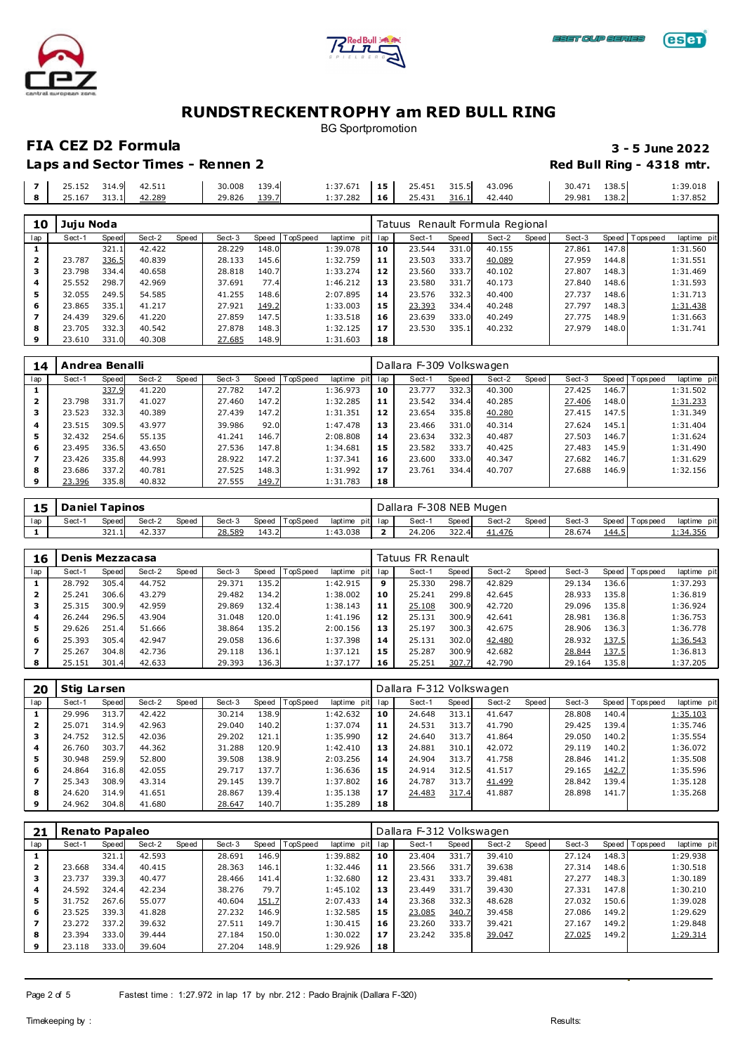





BG Sportpromotion

**FIA CEZ D2 Formula 3 - 5 June 2022 Laps and Sector Times - Rennen 2 Red Bull Ring - 4318 mtr.** 

|  | 314.9 | ⊤∠. <i>J</i> ⊥⊥ | 30.008<br>. | .30.<br>1 J J I<br>$\sim$ $\sim$ | $\sim$ $\sim$ $\sim$ $\sim$<br>-:37.671 | .       | ີ້<br><b>49.TJ1</b>          | -<br>$  -$ | 43.096<br>. | 30.4   | 138.5<br>. | 1:39.018<br>. |
|--|-------|-----------------|-------------|----------------------------------|-----------------------------------------|---------|------------------------------|------------|-------------|--------|------------|---------------|
|  | 313.1 | 42.289          | 29.826      | 130<br>⊥ <i>J J</i>              | 37.282                                  | .<br>16 | $\sim$ $-$<br>,431<br>29.491 | $316 - 1$  | 2.440       | 29.981 | 138.2      | . 7.852       |

| 10  | Juju Noda |       |        |       |        |       |          |             |     | Tatuus Renault Formula Regional |       |        |       |        |       |                 |             |
|-----|-----------|-------|--------|-------|--------|-------|----------|-------------|-----|---------------------------------|-------|--------|-------|--------|-------|-----------------|-------------|
| lap | Sect-1    | Speed | Sect-2 | Speed | Sect-3 | Speed | TopSpeed | laptime pit | lap | Sect-1                          | Speed | Sect-2 | Speed | Sect-3 |       | Speed Tops peed | laptime pit |
|     |           | 321.: | 42.422 |       | 28.229 | 148.0 |          | 1:39.078    | 10  | 23.544                          | 331.0 | 40.155 |       | 27.861 | 147.8 |                 | 1:31.560    |
|     | 23.787    | 336.5 | 40.839 |       | 28.133 | 145.6 |          | 1:32.759    | 11  | 23.503                          | 333.7 | 40.089 |       | 27.959 | 144.8 |                 | 1:31.551    |
|     | 23.798    | 334.4 | 40.658 |       | 28.818 | 140.7 |          | 1:33.274    | 12  | 23.560                          | 333.7 | 40.102 |       | 27.807 | 148.3 |                 | 1:31.469    |
| 4   | 25.552    | 298.7 | 42.969 |       | 37.691 | 77.4  |          | 1:46.212    | 13  | 23.580                          | 331.7 | 40.173 |       | 27.840 | 148.6 |                 | 1:31.593    |
| 5   | 32.055    | 249.5 | 54.585 |       | 41.255 | 148.6 |          | 2:07.895    | 14  | 23.576                          | 332.3 | 40.400 |       | 27.737 | 148.6 |                 | 1:31.713    |
| 6   | 23.865    | 335.1 | 41.217 |       | 27.921 | 149.2 |          | 1:33.003    | 15  | 23.393                          | 334.4 | 40.248 |       | 27.797 | 148.3 |                 | 1:31.438    |
|     | 24.439    | 329.6 | 41.220 |       | 27.859 | 147.5 |          | 1:33.518    | 16  | 23.639                          | 333.0 | 40.249 |       | 27.775 | 148.9 |                 | 1:31.663    |
| 8   | 23.705    | 332.3 | 40.542 |       | 27.878 | 148.3 |          | 1:32.125    | 17  | 23.530                          | 335.1 | 40.232 |       | 27.979 | 148.0 |                 | 1:31.741    |
|     | 23.610    | 331.0 | 40.308 |       | 27.685 | 148.9 |          | 1:31.603    | 18  |                                 |       |        |       |        |       |                 |             |

| 14  | Andrea Benalli |       |        |       |        |       |                 |                |     | Dallara F-309 Volkswagen |       |        |       |        |       |                 |             |
|-----|----------------|-------|--------|-------|--------|-------|-----------------|----------------|-----|--------------------------|-------|--------|-------|--------|-------|-----------------|-------------|
| lap | Sect-1         | Speed | Sect-2 | Speed | Sect-3 | Speed | <b>TopSpeed</b> | laptime<br>pit | lap | Sect-1                   | Speed | Sect-2 | Speed | Sect-3 |       | Speed Tops peed | laptime pit |
|     |                | 337.9 | 41.220 |       | 27.782 | 147.2 |                 | 1:36.973       | 10  | 23.777                   | 332.3 | 40.300 |       | 27.425 | 146.7 |                 | 1:31.502    |
| 2   | 23.798         | 331.7 | 41.027 |       | 27,460 | 147.2 |                 | 1:32.285       | 11  | 23.542                   | 334.4 | 40.285 |       | 27.406 | 148.0 |                 | 1:31.233    |
|     | 23.523         | 332.3 | 40.389 |       | 27.439 | 147.2 |                 | 1:31.351       | 12  | 23.654                   | 335.8 | 40.280 |       | 27.415 | 147.5 |                 | 1:31.349    |
| 4   | 23.515         | 309.5 | 43.977 |       | 39.986 | 92.0  |                 | 1:47.478       | 13  | 23.466                   | 331.0 | 40.314 |       | 27.624 | 145.1 |                 | 1:31.404    |
| 5   | 32.432         | 254.6 | 55.135 |       | 41.241 | 146.7 |                 | 2:08.808       | 14  | 23.634                   | 332.3 | 40.487 |       | 27.503 | 146.7 |                 | 1:31.624    |
| 6   | 23.495         | 336.5 | 43.650 |       | 27.536 | 147.8 |                 | 1:34.681       | 15  | 23.582                   | 333.7 | 40.425 |       | 27.483 | 145.9 |                 | 1:31.490    |
|     | 23.426         | 335.8 | 44.993 |       | 28.922 | 147.2 |                 | 1:37.341       | 16  | 23.600                   | 333.0 | 40.347 |       | 27.682 | 146.7 |                 | 1:31.629    |
| 8   | 23.686         | 337.2 | 40.781 |       | 27.525 | 148.3 |                 | 1:31.992       | 17  | 23.761                   | 334.4 | 40.707 |       | 27.688 | 146.9 |                 | 1:32.156    |
| 9   | 23.396         | 335.8 | 40.832 |       | 27.555 | 149.7 |                 | 1:31.783       | 18  |                          |       |        |       |        |       |                 |             |

|     | 15   Daniel Tapinos |       |        |       |        |       |          |                 |  | Dallara F-308 NEB Mugen |       |        |       |        |              |                 |                 |     |
|-----|---------------------|-------|--------|-------|--------|-------|----------|-----------------|--|-------------------------|-------|--------|-------|--------|--------------|-----------------|-----------------|-----|
| lap | Sect-′              | Speed | Sect-2 | Speed | Sect-3 | Speed | TopSpeed | laptime pit lap |  | Sect-                   | Speed | Sect-2 | Speed | Sect-3 |              | Speed Tops peed | laptime         | pit |
|     |                     | 321.1 | 42.337 |       | 28.589 | 143.2 |          | 1:43.038        |  | 24.206                  | 322.4 | 41.476 |       | 28.674 | <u>144.5</u> |                 | <u>.:34.356</u> |     |

| 16  | Denis Mezzacasa |       |        |       |        |       |          |             |     | Tatuus FR Renault |       |        |         |        |       |                 |             |
|-----|-----------------|-------|--------|-------|--------|-------|----------|-------------|-----|-------------------|-------|--------|---------|--------|-------|-----------------|-------------|
| lap | Sect-1          | Speed | Sect-2 | Speed | Sect-3 | Speed | TopSpeed | laptime pit | lap | Sect-1            | Speed | Sect-2 | Speed ' | Sect-3 |       | Speed Tops peed | laptime pit |
|     | 28.792          | 305.4 | 44.752 |       | 29.371 | 135.2 |          | 1:42.915    | 9   | 25.330            | 298.7 | 42.829 |         | 29.134 | 136.6 |                 | 1:37.293    |
|     | 25.241          | 306.6 | 43.279 |       | 29.482 | 134.2 |          | 1:38.002    | 10  | 25.241            | 299.8 | 42.645 |         | 28.933 | 135.8 |                 | 1:36.819    |
| з   | 25.315          | 300.9 | 42.959 |       | 29.869 | 132.4 |          | 1:38.143    | 11  | 25.108            | 300.9 | 42.720 |         | 29.096 | 135.8 |                 | 1:36.924    |
| 4   | 26.244          | 296.5 | 43.904 |       | 31.048 | 120.0 |          | 1:41.196    | 12  | 25.131            | 300.9 | 42.641 |         | 28.981 | 136.8 |                 | 1:36.753    |
| 5   | 29.626          | 251.4 | 51.666 |       | 38.864 | 135.2 |          | 2:00.156    | 13  | 25.197            | 300.3 | 42.675 |         | 28.906 | 136.3 |                 | 1:36.778    |
| 6   | 25.393          | 305.4 | 42.947 |       | 29.058 | 136.6 |          | 1:37.398    | 14  | 25.131            | 302.0 | 42.480 |         | 28.932 | 137.5 |                 | 1:36.543    |
|     | 25.267          | 304.8 | 42.736 |       | 29.118 | 136.1 |          | 1:37.121    | 15  | 25.287            | 300.9 | 42.682 |         | 28.844 | 137.5 |                 | 1:36.813    |
| 8   | 25.151          | 301.4 | 42.633 |       | 29.393 | 136.3 |          | 1:37.177    | 16  | 25.251            | 307.7 | 42.790 |         | 29.164 | 135.8 |                 | 1:37.205    |

| 20  | <b>Stig Larsen</b> |       |        |       |        |       |                 |             |     | Dallara F-312 Volkswagen |       |        |       |        |       |                 |             |
|-----|--------------------|-------|--------|-------|--------|-------|-----------------|-------------|-----|--------------------------|-------|--------|-------|--------|-------|-----------------|-------------|
| lap | Sect-1             | Speed | Sect-2 | Speed | Sect-3 | Speed | <b>TopSpeed</b> | laptime pit | lap | Sect-1                   | Speed | Sect-2 | Speed | Sect-3 |       | Speed Tops peed | laptime pit |
|     | 29.996             | 313.7 | 42.422 |       | 30.214 | 138.9 |                 | 1:42.632    | 10  | 24.648                   | 313.1 | 41.647 |       | 28.808 | 140.4 |                 | 1:35.103    |
|     | 25.071             | 314.9 | 42.963 |       | 29.040 | 140.2 |                 | 1:37.074    | 11  | 24.531                   | 313.7 | 41.790 |       | 29.425 | 139.4 |                 | 1:35.746    |
| з   | 24.752             | 312.5 | 42.036 |       | 29.202 | 121.1 |                 | 1:35.990    | 12  | 24.640                   | 313.7 | 41.864 |       | 29.050 | 140.2 |                 | 1:35.554    |
| 4   | 26.760             | 303.7 | 44.362 |       | 31.288 | 120.9 |                 | 1:42.410    | 13  | 24.881                   | 310.1 | 42.072 |       | 29.119 | 140.2 |                 | 1:36.072    |
| 5   | 30.948             | 259.9 | 52.800 |       | 39.508 | 138.9 |                 | 2:03.256    | 14  | 24.904                   | 313.7 | 41.758 |       | 28.846 | 141.2 |                 | 1:35.508    |
| 6   | 24.864             | 316.8 | 42.055 |       | 29.717 | 137.7 |                 | 1:36.636    | 15  | 24.914                   | 312.5 | 41.517 |       | 29.165 | 142.7 |                 | 1:35.596    |
|     | 25.343             | 308.9 | 43.314 |       | 29.145 | 139.7 |                 | 1:37.802    | 16  | 24.787                   | 313.7 | 41.499 |       | 28.842 | 139.4 |                 | 1:35.128    |
| 8   | 24.620             | 314.9 | 41.651 |       | 28.867 | 139.4 |                 | 1:35.138    | 17  | 24.483                   | 317.4 | 41.887 |       | 28.898 | 141.7 |                 | 1:35.268    |
| 9   | 24.962             | 304.8 | 41.680 |       | 28.647 | 140.7 |                 | 1:35.289    | 18  |                          |       |        |       |        |       |                 |             |

| 21  | <b>Renato Papaleo</b> |       |        |       |        |       |          |                |     | Dallara F-312 Volkswagen |       |        |       |        |       |                   |             |
|-----|-----------------------|-------|--------|-------|--------|-------|----------|----------------|-----|--------------------------|-------|--------|-------|--------|-------|-------------------|-------------|
| lap | Sect-1                | Speed | Sect-2 | Speed | Sect-3 | Speed | TopSpeed | laptime<br>pit | lap | Sect-1                   | Speed | Sect-2 | Speed | Sect-3 |       | Speed   Tops peed | laptime pit |
|     |                       | 321.1 | 42.593 |       | 28.691 | 146.9 |          | 1:39.882       | 10  | 23.404                   | 331.7 | 39.410 |       | 27.124 | 148.3 |                   | 1:29.938    |
|     | 23.668                | 334.4 | 40.415 |       | 28.363 | 146.1 |          | 1:32.446       | 11  | 23.566                   | 331.7 | 39.638 |       | 27.314 | 148.6 |                   | 1:30.518    |
| з   | 23.737                | 339.3 | 40.477 |       | 28.466 | 141.4 |          | 1:32.680       | 12  | 23.431                   | 333.7 | 39.481 |       | 27.277 | 148.3 |                   | 1:30.189    |
| 4   | 24.592                | 324.4 | 42.234 |       | 38.276 | 79.7  |          | 1:45.102       | 13  | 23.449                   | 331.7 | 39.430 |       | 27.331 | 147.8 |                   | 1:30.210    |
| 5   | 31.752                | 267.6 | 55.077 |       | 40.604 | 151.7 |          | 2:07.433       | 14  | 23.368                   | 332.3 | 48.628 |       | 27.032 | 150.6 |                   | 1:39.028    |
| 6   | 23.525                | 339.3 | 41.828 |       | 27.232 | 146.9 |          | 1:32.585       | 15  | 23.085                   | 340.7 | 39.458 |       | 27.086 | 149.2 |                   | 1:29.629    |
|     | 23.272                | 337.2 | 39.632 |       | 27.511 | 149.7 |          | 1:30.415       | 16  | 23.260                   | 333.7 | 39.421 |       | 27.167 | 149.2 |                   | 1:29.848    |
| 8   | 23.394                | 333.0 | 39.444 |       | 27.184 | 150.0 |          | 1:30.022       | 17  | 23.242                   | 335.8 | 39.047 |       | 27.025 | 149.2 |                   | 1:29.314    |
| 9   | 23.118                | 333.0 | 39.604 |       | 27.204 | 148.9 |          | 1:29.926       | 18  |                          |       |        |       |        |       |                   |             |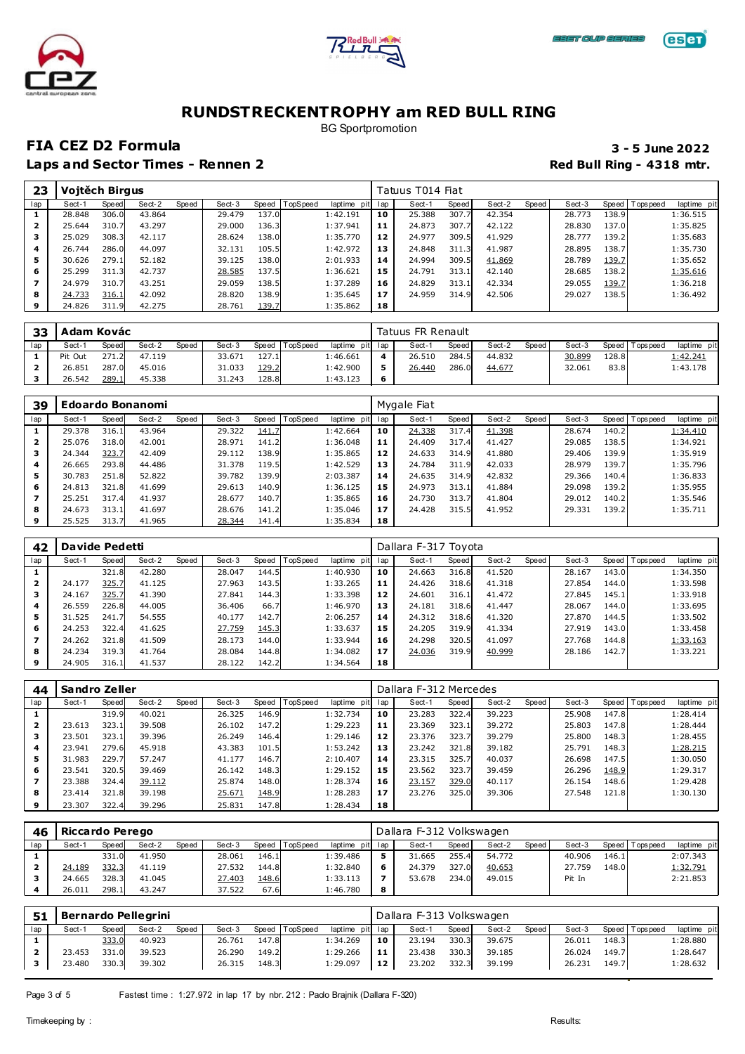





BG Sportpromotion

### **FIA CEZ D2 Formula 3 - 5 June 2022**

| 23  | Vojtěch Birgus |       |        |       |        |       |          |                 |     | Tatuus T014 Fiat |       |        |       |        |       |            |            |
|-----|----------------|-------|--------|-------|--------|-------|----------|-----------------|-----|------------------|-------|--------|-------|--------|-------|------------|------------|
| lap | Sect-1         | Speed | Sect-2 | Speed | Sect-3 | Speed | TopSpeed | laptime<br>pitl | lap | Sect-1           | Speed | Sect-2 | Speed | Sect-3 | Speed | T ops peed | laptime pi |
|     | 28.848         | 306.0 | 43.864 |       | 29.479 | 137.0 |          | 1:42.191        | 10  | 25.388           | 307.7 | 42.354 |       | 28.773 | 138.9 |            | 1:36.515   |
| 2   | 25.644         | 310.7 | 43.297 |       | 29,000 | 136.3 |          | 1:37.941        | 11  | 24.873           | 307.7 | 42.122 |       | 28.830 | 137.0 |            | 1:35.825   |
| 3   | 25.029         | 308.3 | 42.117 |       | 28.624 | 138.0 |          | 1:35.770        | 12  | 24.977           | 309.5 | 41.929 |       | 28.777 | 139.2 |            | 1:35.683   |
| 4   | 26.744         | 286.0 | 44.097 |       | 32.131 | 105.5 |          | 1:42.972        | 13  | 24.848           | 311.3 | 41.987 |       | 28.895 | 138.7 |            | 1:35.730   |
| 5   | 30.626         | 279.1 | 52.182 |       | 39.125 | 138.0 |          | 2:01.933        | 14  | 24.994           | 309.5 | 41.869 |       | 28.789 | 139.7 |            | 1:35.652   |
| 6   | 25.299         | 311.3 | 42.737 |       | 28.585 | 137.5 |          | 1:36.621        | 15  | 24.791           | 313.1 | 42.140 |       | 28.685 | 138.2 |            | 1:35.616   |
|     | 24.979         | 310.7 | 43.251 |       | 29.059 | 138.5 |          | 1:37.289        | 16  | 24.829           | 313.1 | 42.334 |       | 29.055 | 139.7 |            | 1:36.218   |
| 8   | 24.733         | 316.1 | 42.092 |       | 28,820 | 138.9 |          | 1:35.645        | 17  | 24.959           | 314.9 | 42.506 |       | 29.027 | 138.5 |            | 1:36.492   |
| 9   | 24.826         | 311.9 | 42.275 |       | 28.761 | 139.7 |          | 1:35.862        | 18  |                  |       |        |       |        |       |            |            |

| 33  | Adam Kovác |       |        |       |        |       |          |                 |   | Tatuus FR Renault |       |        |       |        |       |                 |                |
|-----|------------|-------|--------|-------|--------|-------|----------|-----------------|---|-------------------|-------|--------|-------|--------|-------|-----------------|----------------|
| lap | Sect-1     | Speed | Sect-2 | Speed | Sect-3 | Speed | TopSpeed | laptime pit lap |   | Sect-1            | Speed | Sect-2 | Speed | Sect-3 |       | Speed Tops peed | pit<br>laptime |
|     | Pit Out    | 271.2 | 47.119 |       | 33.671 | 127.1 |          | l:46.661        |   | 26.510            | 284.5 | 44.832 |       | 30.899 | 128.8 |                 | 1:42.241       |
|     | 26.851     | 287.0 | 45.016 |       | 31.033 | 129.2 |          | 1:42.900        |   | <u>26.440</u>     | 286.0 | 44.677 |       | 32.061 | 83.8  |                 | 1:43.178       |
|     | 26.542     | 289.  | 45.338 |       | 31.243 | 128.8 |          | 1:43.123        | 6 |                   |       |        |       |        |       |                 |                |

| 39  |        |       | <b>Edoardo Bonanomi</b> |       |        |       |                 |                |     | Mygale Fiat |       |        |         |        |       |                 |             |
|-----|--------|-------|-------------------------|-------|--------|-------|-----------------|----------------|-----|-------------|-------|--------|---------|--------|-------|-----------------|-------------|
| lap | Sect-1 | Speed | Sect-2                  | Speed | Sect-3 | Speed | <b>TopSpeed</b> | laptime<br>pit | lap | Sect-1      | Speed | Sect-2 | Speed ' | Sect-3 |       | Speed Tops peed | laptime pit |
|     | 29.378 | 316.1 | 43.964                  |       | 29.322 | 141.7 |                 | 1:42.664       | 10  | 24.338      | 317.4 | 41.398 |         | 28.674 | 140.2 |                 | 1:34.410    |
| 2   | 25.076 | 318.0 | 42.001                  |       | 28.971 | 141.2 |                 | 1:36.048       | 11  | 24.409      | 317.4 | 41.427 |         | 29.085 | 138.5 |                 | 1:34.921    |
| з   | 24.344 | 323.7 | 42.409                  |       | 29.112 | 138.9 |                 | 1:35.865       | 12  | 24.633      | 314.9 | 41.880 |         | 29,406 | 139.9 |                 | 1:35.919    |
| 4   | 26.665 | 293.8 | 44.486                  |       | 31.378 | 119.5 |                 | 1:42.529       | 13  | 24.784      | 311.9 | 42.033 |         | 28.979 | 139.7 |                 | 1:35.796    |
| 5   | 30.783 | 251.8 | 52.822                  |       | 39.782 | 139.9 |                 | 2:03.387       | 14  | 24.635      | 314.9 | 42.832 |         | 29.366 | 140.4 |                 | 1:36.833    |
| 6   | 24.813 | 321.8 | 41.699                  |       | 29.613 | 140.9 |                 | 1:36.125       | 15  | 24.973      | 313.1 | 41.884 |         | 29.098 | 139.2 |                 | 1:35.955    |
|     | 25.251 | 317.4 | 41.937                  |       | 28.677 | 140.7 |                 | 1:35.865       | 16  | 24.730      | 313.7 | 41.804 |         | 29.012 | 140.2 |                 | 1:35.546    |
| 8   | 24.673 | 313.1 | 41.697                  |       | 28.676 | 141.2 |                 | 1:35.046       | 17  | 24.428      | 315.5 | 41.952 |         | 29.331 | 139.2 |                 | 1:35.711    |
|     | 25.525 | 313.7 | 41.965                  |       | 28.344 | 141.4 |                 | 1:35.834       | 18  |             |       |        |         |        |       |                 |             |

| 42  | Davide Pedetti |       |        |       |        |       |                 |                |     | Dallara F-317 Toyota |       |        |       |        |       |                 |             |
|-----|----------------|-------|--------|-------|--------|-------|-----------------|----------------|-----|----------------------|-------|--------|-------|--------|-------|-----------------|-------------|
| lap | Sect-1         | Speed | Sect-2 | Speed | Sect-3 | Speed | <b>TopSpeed</b> | laptime<br>pit | lap | Sect-1               | Speed | Sect-2 | Speed | Sect-3 |       | Speed Tops peed | laptime pit |
|     |                | 321.8 | 42.280 |       | 28.047 | 144.5 |                 | 1:40.930       | 10  | 24.663               | 316.8 | 41.520 |       | 28.167 | 143.0 |                 | 1:34.350    |
| 2   | 24.177         | 325.7 | 41.125 |       | 27.963 | 143.5 |                 | 1:33.265       | 11  | 24.426               | 318.6 | 41.318 |       | 27.854 | 144.0 |                 | 1:33.598    |
|     | 24.167         | 325.7 | 41.390 |       | 27.841 | 144.3 |                 | 1:33.398       | 12  | 24.601               | 316.1 | 41.472 |       | 27.845 | 145.1 |                 | 1:33.918    |
| 4   | 26.559         | 226.8 | 44.005 |       | 36.406 | 66.7  |                 | 1:46.970       | 13  | 24.181               | 318.6 | 41.447 |       | 28.067 | 144.0 |                 | 1:33.695    |
| 5   | 31.525         | 241.7 | 54.555 |       | 40.177 | 142.7 |                 | 2:06.257       | 14  | 24.312               | 318.6 | 41.320 |       | 27.870 | 144.5 |                 | 1:33.502    |
| 6   | 24.253         | 322.4 | 41.625 |       | 27.759 | 145.3 |                 | 1:33.637       | 15  | 24.205               | 319.9 | 41.334 |       | 27.919 | 143.0 |                 | 1:33.458    |
|     | 24.262         | 321.8 | 41.509 |       | 28.173 | 144.0 |                 | 1:33.944       | 16  | 24.298               | 320.5 | 41.097 |       | 27.768 | 144.8 |                 | 1:33.163    |
| 8   | 24.234         | 319.3 | 41.764 |       | 28.084 | 144.8 |                 | 1:34.082       | 17  | 24.036               | 319.9 | 40.999 |       | 28.186 | 142.7 |                 | 1:33.221    |
| 9   | 24.905         | 316.1 | 41.537 |       | 28.122 | 142.2 |                 | 1:34.564       | 18  |                      |       |        |       |        |       |                 |             |

| 44  | Sandro Zeller |       |        |       |        |       |         |                |     | Dallara F-312 Mercedes |       |        |       |        |       |                 |             |
|-----|---------------|-------|--------|-------|--------|-------|---------|----------------|-----|------------------------|-------|--------|-------|--------|-------|-----------------|-------------|
| lap | Sect-1        | Speed | Sect-2 | Speed | Sect-3 | Speed | opSpeed | laptime<br>pit | lap | Sect-1                 | Speed | Sect-2 | Speed | Sect-3 |       | Speed Tops peed | laptime pit |
|     |               | 319.9 | 40.021 |       | 26.325 | 146.9 |         | 1:32.734       | 10  | 23.283                 | 322.4 | 39.223 |       | 25.908 | 147.8 |                 | 1:28.414    |
| 2   | 23.613        | 323.1 | 39.508 |       | 26.102 | 147.2 |         | 1:29.223       | 11  | 23.369                 | 323.1 | 39.272 |       | 25.803 | 147.8 |                 | 1:28.444    |
| з   | 23.501        | 323.1 | 39.396 |       | 26.249 | 146.4 |         | 1:29.146       | 12  | 23.376                 | 323.7 | 39.279 |       | 25,800 | 148.3 |                 | 1:28.455    |
| 4   | 23.941        | 279.6 | 45.918 |       | 43.383 | 101.5 |         | 1:53.242       | 13  | 23.242                 | 321.8 | 39.182 |       | 25.791 | 148.3 |                 | 1:28.215    |
| 5   | 31.983        | 229.7 | 57.247 |       | 41.177 | 146.7 |         | 2:10.407       | 14  | 23.315                 | 325.7 | 40.037 |       | 26.698 | 147.5 |                 | 1:30.050    |
| 6   | 23.541        | 320.5 | 39.469 |       | 26.142 | 148.3 |         | 1:29.152       | 15  | 23.562                 | 323.7 | 39.459 |       | 26.296 | 148.9 |                 | 1:29.317    |
|     | 23.388        | 324.4 | 39.112 |       | 25.874 | 148.0 |         | 1:28.374       | 16  | 23.157                 | 329.0 | 40.117 |       | 26.154 | 148.6 |                 | 1:29.428    |
| 8   | 23.414        | 321.8 | 39.198 |       | 25.671 | 148.9 |         | 1:28.283       | 17  | 23.276                 | 325.0 | 39.306 |       | 27.548 | 121.8 |                 | 1:30.130    |
| 9   | 23.307        | 322.4 | 39.296 |       | 25.831 | 147.8 |         | 1:28.434       | 18  |                        |       |        |       |        |       |                 |             |

| 46  | Riccardo Perego |       |        |       |        |       |                |             |     | Dallara F-312 Volkswagen |         |        |       |        |       |            |             |
|-----|-----------------|-------|--------|-------|--------|-------|----------------|-------------|-----|--------------------------|---------|--------|-------|--------|-------|------------|-------------|
| lap | Sect-1          | Speed | Sect-2 | Speed | Sect-3 |       | Speed TopSpeed | laptime pit | lap | Sect-1                   | Speed I | Sect-2 | Speed | Sect-3 | Speed | T ops peed | laptime pit |
|     |                 | 331.0 | 41.950 |       | 28.061 | 146.1 |                | 1:39.486    |     | 31.665                   | 255.4   | 54.772 |       | 40.906 | 146.1 |            | 2:07.343    |
|     | 24.189          | 332.3 | 41.119 |       | 27.532 | 144.8 |                | 1:32.840    | 6   | 24.379                   | 327.0   | 40.653 |       | 27.759 | 148.0 |            | 1:32.791    |
|     | 24.665          | 328.3 | 41.045 |       | 27.403 | 148.6 |                | 1:33.113    |     | 53.678                   | 234.0   | 49.015 |       | Pit In |       |            | 2:21.853    |
|     | 26.011          | 298.1 | 43.247 |       | 37.522 | 67.6  |                | 1:46.780    | 8   |                          |         |        |       |        |       |            |             |

| 51  |        |       | Bernardo Pellegrini |       |        |       |          |                 |     | Dallara F-313 Volkswagen |       |        |       |        |       |                 |             |
|-----|--------|-------|---------------------|-------|--------|-------|----------|-----------------|-----|--------------------------|-------|--------|-------|--------|-------|-----------------|-------------|
| lap | Sect-1 | Speed | Sect-2              | Speed | Sect-3 | Speed | TopSpeed | laptime pit lap |     | Sect-1                   | Speed | Sect-2 | Speed | Sect-3 |       | Speed Tops peed | laptime pit |
|     |        | 333.0 | 40.923              |       | 26.761 | 147.8 |          | 1:34.269        | 10  | 23.194                   | 330.3 | 39.675 |       | 26.011 | 148.3 |                 | 1:28.880    |
|     | 23.453 | 331.0 | 39.523              |       | 26.290 | 149.2 |          | 1:29.266        | -11 | 23.438                   | 330.3 | 39.185 |       | 26.024 | 149.7 |                 | 1:28.647    |
|     | 23.480 | 330.3 | 39.302              |       | 26.315 | 148.3 |          | 1:29.097        | 12  | 23.202                   | 332.3 | 39.199 |       | 26.231 | 149.7 |                 | 1:28.632    |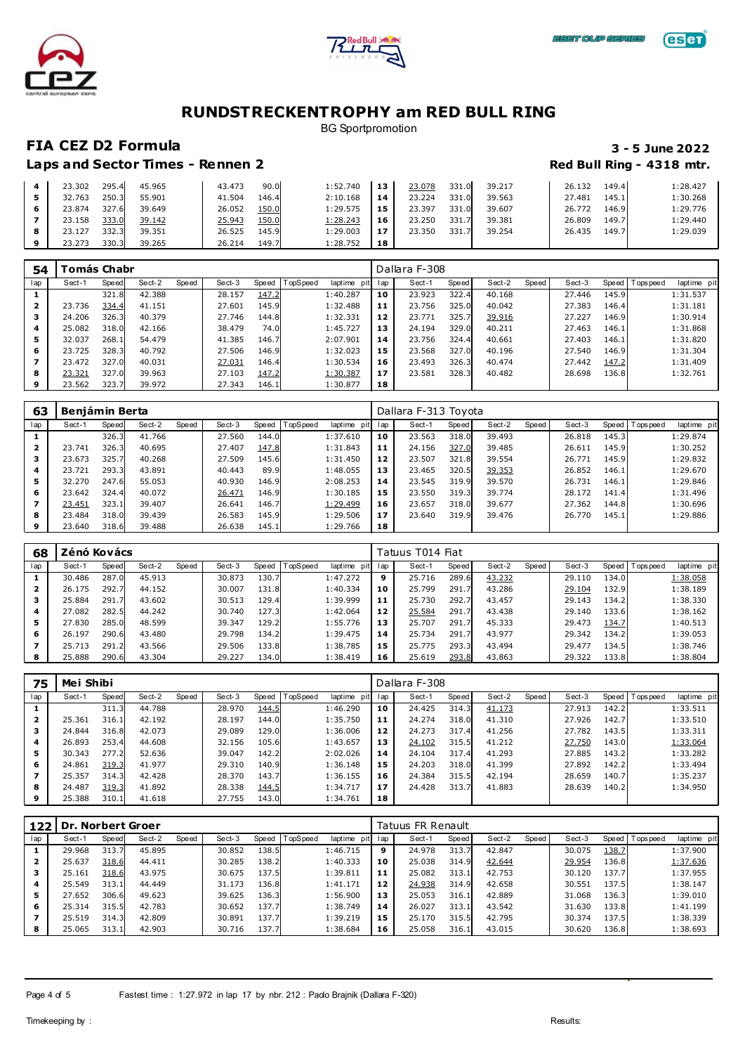





BG Sportpromotion

### **FIA CEZ D2 Formula 3 - 5 June 2022**

|   | 23.302 | 295.4 | 45.965 | 43.473 | 90.0  | 1:52.740 | 13  | 23.078 | 331.<br>.0 <sub>l</sub> | 39.217 | 26.132 | 149.4 | 1:28.427 |
|---|--------|-------|--------|--------|-------|----------|-----|--------|-------------------------|--------|--------|-------|----------|
|   | 32.763 | 250.3 | 55.901 | 41.504 | 146.4 | 2:10.168 | 14  | 23.224 | 331<br>.ol              | 39.563 | 27.481 | 145.1 | 1:30.268 |
| 6 | 23.874 | 327.6 | 39.649 | 26.052 | 150.0 | 1:29.575 | 15  | 23.397 | 331.0                   | 39.607 | 26.772 | 146.9 | 1:29.776 |
|   | 23.158 | 333.0 | 39.142 | 25.943 | 150.0 | 1:28.243 | 16  | 23.250 | 331                     | 39.381 | 26.809 | 149.7 | 1:29.440 |
| 8 | 23.127 | 332.3 | 39.351 | 26.525 | 145.9 | 1:29.003 | -17 | 23.350 | 331                     | 39.254 | 26.435 | 149.7 | 1:29.039 |
|   | 23.273 | 330.3 | 39.265 | 26.214 | 149.7 | 1:28.752 | 18  |        |                         |        |        |       |          |

| 54  |        | ⊺omás Chabr |        |       |        |       |                 |                 |     | Dallara F-308 |       |        |       |        |       |                 |             |
|-----|--------|-------------|--------|-------|--------|-------|-----------------|-----------------|-----|---------------|-------|--------|-------|--------|-------|-----------------|-------------|
| lap | Sect-1 | Speed       | Sect-2 | Speed | Sect-3 | Speed | <b>TopSpeed</b> | laptime<br>pitl | lap | Sect-1        | Speed | Sect-2 | Speed | Sect-3 |       | Speed Tops peed | laptime pit |
|     |        | 321.8       | 42.388 |       | 28.157 | 147.2 |                 | 1:40.287        | 10  | 23.923        | 322.4 | 40.168 |       | 27.446 | 145.9 |                 | 1:31.537    |
| 2   | 23.736 | 334.4       | 41.151 |       | 27.601 | 145.9 |                 | 1:32.488        | 11  | 23.756        | 325.0 | 40.042 |       | 27.383 | 146.4 |                 | 1:31.181    |
| з   | 24.206 | 326.3       | 40.379 |       | 27.746 | 144.8 |                 | 1:32.331        | 12  | 23.771        | 325.7 | 39.916 |       | 27.227 | 146.9 |                 | 1:30.914    |
| 4   | 25.082 | 318.0       | 42.166 |       | 38.479 | 74.0  |                 | 1:45.727        | 13  | 24.194        | 329.0 | 40.211 |       | 27.463 | 146.1 |                 | 1:31.868    |
| 5   | 32.037 | 268.1       | 54.479 |       | 41.385 | 146.7 |                 | 2:07.901        | 14  | 23.756        | 324.4 | 40.661 |       | 27.403 | 146.1 |                 | 1:31.820    |
| 6   | 23.725 | 328.3       | 40.792 |       | 27.506 | 146.9 |                 | 1:32.023        | 15  | 23.568        | 327.0 | 40.196 |       | 27.540 | 146.9 |                 | 1:31.304    |
|     | 23.472 | 327.0       | 40.031 |       | 27.031 | 146.4 |                 | 1:30.534        | 16  | 23.493        | 326.3 | 40.474 |       | 27.442 | 147.2 |                 | 1:31.409    |
| 8   | 23.321 | 327.0       | 39.963 |       | 27.103 | 147.2 |                 | 1:30.387        | 17  | 23.581        | 328.3 | 40.482 |       | 28.698 | 136.8 |                 | 1:32.761    |
| 9   | 23.562 | 323.7       | 39.972 |       | 27.343 | 146.1 |                 | 1:30.877        | 18  |               |       |        |       |        |       |                 |             |

| 63  | <b>Beniámin Berta</b> |       |        |       |        |       |          |             |     | Dallara F-313 Toyota |       |        |       |        |       |                 |             |
|-----|-----------------------|-------|--------|-------|--------|-------|----------|-------------|-----|----------------------|-------|--------|-------|--------|-------|-----------------|-------------|
| lap | Sect-1                | Speed | Sect-2 | Speed | Sect-3 | Speed | TopSpeed | laptime pit | lap | Sect-1               | Speed | Sect-2 | Speed | Sect-3 |       | Speed Tops peed | laptime pit |
|     |                       | 326.3 | 41.766 |       | 27.560 | 144.0 |          | 1:37.610    | 10  | 23.563               | 318.0 | 39.493 |       | 26.818 | 145.3 |                 | 1:29.874    |
|     | 23.741                | 326.3 | 40.695 |       | 27.407 | 147.8 |          | 1:31.843    | 11  | 24.156               | 327.0 | 39.485 |       | 26.611 | 145.9 |                 | 1:30.252    |
| з   | 23.673                | 325.7 | 40.268 |       | 27.509 | 145.6 |          | 1:31.450    | 12  | 23.507               | 321.8 | 39.554 |       | 26.771 | 145.9 |                 | 1:29.832    |
| 4   | 23.721                | 293.3 | 43.891 |       | 40.443 | 89.9  |          | 1:48.055    | 13  | 23.465               | 320.5 | 39.353 |       | 26.852 | 146.1 |                 | 1:29.670    |
| 5   | 32.270                | 247.6 | 55.053 |       | 40.930 | 146.9 |          | 2:08.253    | 14  | 23.545               | 319.9 | 39.570 |       | 26.731 | 146.1 |                 | 1:29.846    |
| 6   | 23.642                | 324.4 | 40.072 |       | 26.471 | 146.9 |          | 1:30.185    | 15  | 23.550               | 319.3 | 39.774 |       | 28.172 | 141.4 |                 | 1:31.496    |
|     | 23.451                | 323.1 | 39.407 |       | 26.641 | 146.7 |          | 1:29.499    | 16  | 23.657               | 318.0 | 39.677 |       | 27.362 | 144.8 |                 | 1:30.696    |
| 8   | 23.484                | 318.0 | 39.439 |       | 26.583 | 145.9 |          | 1:29.506    | 17  | 23.640               | 319.9 | 39.476 |       | 26.770 | 145.1 |                 | 1:29.886    |
| 9   | 23.640                | 318.6 | 39.488 |       | 26.638 | 145.1 |          | 1:29.766    | 18  |                      |       |        |       |        |       |                 |             |

| 68  | Zénó Kovács |       |        |       |        |       |                  |             |     | Tatuus T014 Fiat |       |        |       |        |       |                 |             |
|-----|-------------|-------|--------|-------|--------|-------|------------------|-------------|-----|------------------|-------|--------|-------|--------|-------|-----------------|-------------|
| lap | Sect-1      | Speed | Sect-2 | Speed | Sect-3 |       | Speed   TopSpeed | laptime pit | lap | Sect-1           | Speed | Sect-2 | Speed | Sect-3 |       | Speed Tops peed | laptime pit |
|     | 30.486      | 287.0 | 45.913 |       | 30.873 | 130.7 |                  | 1:47.272    | 9   | 25.716           | 289.6 | 43.232 |       | 29.110 | 134.0 |                 | 1:38.058    |
|     | 26.175      | 292.7 | 44.152 |       | 30.007 | 131.8 |                  | 1:40.334    | 10  | 25.799           | 291.7 | 43.286 |       | 29.104 | 132.9 |                 | 1:38.189    |
| з   | 25.884      | 291.7 | 43.602 |       | 30.513 | 129.4 |                  | 1:39.999    | 11  | 25.730           | 292.7 | 43.457 |       | 29.143 | 134.2 |                 | 1:38.330    |
| 4   | 27.082      | 282.5 | 44.242 |       | 30.740 | 127.3 |                  | 1:42.064    | 12  | 25.584           | 291.7 | 43.438 |       | 29.140 | 133.6 |                 | 1:38.162    |
| 5   | 27.830      | 285.0 | 48.599 |       | 39.347 | 129.2 |                  | 1:55.776    | 13  | 25.707           | 291.7 | 45.333 |       | 29.473 | 134.7 |                 | 1:40.513    |
| 6   | 26.197      | 290.6 | 43.480 |       | 29.798 | 134.2 |                  | 1:39.475    | 14  | 25.734           | 291.7 | 43.977 |       | 29.342 | 134.2 |                 | 1:39.053    |
|     | 25.713      | 291.2 | 43.566 |       | 29.506 | 133.8 |                  | 1:38.785    | 15  | 25.775           | 293.3 | 43.494 |       | 29.477 | 134.5 |                 | 1:38.746    |
| 8   | 25.888      | 290.6 | 43.304 |       | 29.227 | 134.0 |                  | 1:38.419    | 16  | 25.619           | 293.8 | 43.863 |       | 29.322 | 133.8 |                 | 1:38.804    |

| 75  | Mei Shibi |       |        |       |        |       |                 |             |     | Dallara F-308 |       |        |       |        |       |             |             |
|-----|-----------|-------|--------|-------|--------|-------|-----------------|-------------|-----|---------------|-------|--------|-------|--------|-------|-------------|-------------|
| lap | Sect-1    | Speed | Sect-2 | Speed | Sect-3 | Speed | <b>TopSpeed</b> | laptime pit | lap | Sect-1        | Speed | Sect-2 | Speed | Sect-3 | Speed | T ops pee d | laptime pit |
|     |           | 311.3 | 44.788 |       | 28.970 | 144.5 |                 | 1:46.290    | 10  | 24.425        | 314.3 | 41.173 |       | 27.913 | 142.2 |             | 1:33.511    |
|     | 25.361    | 316.1 | 42.192 |       | 28.197 | 144.0 |                 | 1:35.750    | 11  | 24.274        | 318.0 | 41.310 |       | 27.926 | 142.7 |             | 1:33.510    |
| з   | 24.844    | 316.8 | 42.073 |       | 29.089 | 129.0 |                 | 1:36.006    | 12  | 24.273        | 317.4 | 41.256 |       | 27.782 | 143.5 |             | 1:33.311    |
| 4   | 26.893    | 253.4 | 44.608 |       | 32.156 | 105.6 |                 | 1:43.657    | 13  | 24.102        | 315.5 | 41.212 |       | 27.750 | 143.0 |             | 1:33.064    |
| 5   | 30.343    | 277.2 | 52.636 |       | 39.047 | 142.2 |                 | 2:02.026    | 14  | 24.104        | 317.4 | 41.293 |       | 27.885 | 143.2 |             | 1:33.282    |
| 6   | 24.861    | 319.3 | 41.977 |       | 29.310 | 140.9 |                 | 1:36.148    | 15  | 24.203        | 318.0 | 41.399 |       | 27.892 | 142.2 |             | 1:33.494    |
|     | 25.357    | 314.3 | 42.428 |       | 28.370 | 143.7 |                 | 1:36.155    | 16  | 24.384        | 315.5 | 42.194 |       | 28.659 | 140.7 |             | 1:35.237    |
| 8   | 24.487    | 319.3 | 41.892 |       | 28.338 | 144.5 |                 | 1:34.717    | 17  | 24.428        | 313.7 | 41.883 |       | 28.639 | 140.2 |             | 1:34.950    |
| 9   | 25.388    | 310.1 | 41.618 |       | 27.755 | 143.0 |                 | 1:34.761    | 18  |               |       |        |       |        |       |             |             |

| 122 | <b>Dr. Norbert Groer</b> |       |        |       |        |       |          |             |     | Tatuus FR Renault |       |        |       |        |       |           |             |
|-----|--------------------------|-------|--------|-------|--------|-------|----------|-------------|-----|-------------------|-------|--------|-------|--------|-------|-----------|-------------|
| lap | Sect-1                   | Speed | Sect-2 | Speed | Sect-3 | Speed | TopSpeed | laptime pit | lap | Sect-1            | Speed | Sect-2 | Speed | Sect-3 | Speed | Tops peed | laptime pit |
|     | 29.968                   | 313.7 | 45.895 |       | 30.852 | 138.5 |          | 1:46.715    | 9   | 24.978            | 313.7 | 42.847 |       | 30.075 | 138.7 |           | 1:37.900    |
|     | 25.637                   | 318.6 | 44.411 |       | 30.285 | 138.2 |          | 1:40.333    | 10  | 25.038            | 314.9 | 42.644 |       | 29.954 | 136.8 |           | 1:37.636    |
| з   | 25.161                   | 318.6 | 43.975 |       | 30.675 | 137.5 |          | 1:39.811    | 11  | 25.082            | 313.1 | 42.753 |       | 30.120 | 137.7 |           | 1:37.955    |
| 4   | 25.549                   | 313.1 | 44.449 |       | 31.173 | 136.8 |          | 1:41.171    | 12  | 24.938            | 314.9 | 42.658 |       | 30.551 | 137.5 |           | 1:38.147    |
| 5   | 27.652                   | 306.6 | 49.623 |       | 39.625 | 136.3 |          | 1:56.900    | 13  | 25.053            | 316.1 | 42.889 |       | 31.068 | 136.3 |           | 1:39.010    |
| 6   | 25.314                   | 315.5 | 42.783 |       | 30.652 | 137.7 |          | 1:38.749    | 14  | 26.027            | 313.1 | 43.542 |       | 31.630 | 133.8 |           | 1:41.199    |
|     | 25.519                   | 314.3 | 42.809 |       | 30.891 | 137.7 |          | 1:39.219    | 15  | 25.170            | 315.5 | 42.795 |       | 30.374 | 137.5 |           | 1:38.339    |
| 8   | 25.065                   | 313.1 | 42.903 |       | 30.716 | 137.7 |          | 1:38.684    | 16  | 25.058            | 316.1 | 43.015 |       | 30.620 | 136.8 |           | 1:38.693    |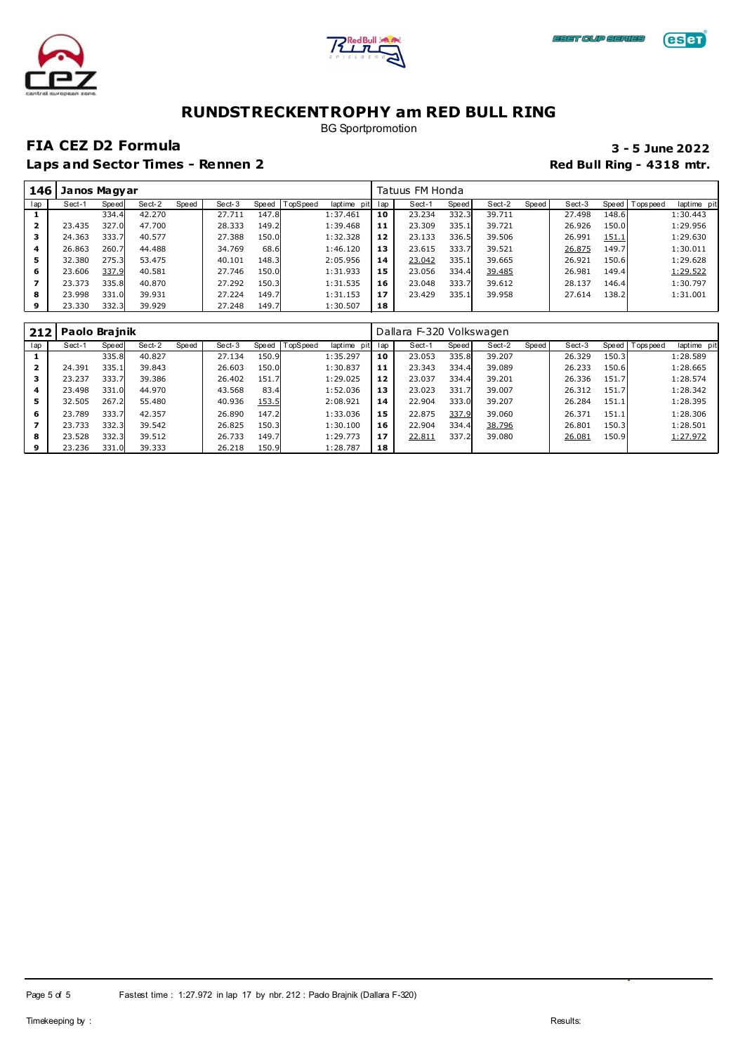



# **eser**

# **RUNDSTRECKENTROPHY am RED BULL RING**

BG Sportpromotion

### **FIA CEZ D2 Formula 3 - 5 June 2022**

| 146 | Janos Magyar |       |        |       |        |       |          |             |     | Tatuus FM Honda |       |        |         |        |       |                 |             |
|-----|--------------|-------|--------|-------|--------|-------|----------|-------------|-----|-----------------|-------|--------|---------|--------|-------|-----------------|-------------|
| lap | Sect-1       | Speed | Sect-2 | Speed | Sect-3 | Speed | TopSpeed | laptime pit | lap | Sect-1          | Speed | Sect-2 | Speed I | Sect-3 |       | Speed Tops peed | laptime pit |
|     |              | 334.4 | 42.270 |       | 27.711 | 147.8 |          | 1:37.461    | 10  | 23.234          | 332.3 | 39.711 |         | 27.498 | 148.6 |                 | 1:30.443    |
| 2   | 23.435       | 327.0 | 47.700 |       | 28.333 | 149.2 |          | 1:39.468    | 11  | 23.309          | 335.1 | 39.721 |         | 26.926 | 150.0 |                 | 1:29.956    |
| з   | 24.363       | 333.7 | 40.577 |       | 27.388 | 150.0 |          | 1:32.328    | 12  | 23.133          | 336.5 | 39.506 |         | 26.991 | 151.1 |                 | 1:29.630    |
| 4   | 26.863       | 260.7 | 44.488 |       | 34.769 | 68.6  |          | 1:46.120    | 13  | 23.615          | 333.7 | 39.521 |         | 26.875 | 149.7 |                 | 1:30.011    |
| 5   | 32.380       | 275.3 | 53.475 |       | 40.101 | 148.3 |          | 2:05.956    | 14  | 23.042          | 335.1 | 39.665 |         | 26.921 | 150.6 |                 | 1:29.628    |
| 6   | 23.606       | 337.9 | 40.581 |       | 27.746 | 150.0 |          | 1:31.933    | 15  | 23.056          | 334.4 | 39.485 |         | 26.981 | 149.4 |                 | 1:29.522    |
|     | 23.373       | 335.8 | 40.870 |       | 27.292 | 150.3 |          | 1:31.535    | 16  | 23.048          | 333.7 | 39.612 |         | 28.137 | 146.4 |                 | 1:30.797    |
| 8   | 23.998       | 331.0 | 39.931 |       | 27.224 | 149.7 |          | 1:31.153    | 17  | 23.429          | 335.1 | 39.958 |         | 27.614 | 138.2 |                 | 1:31.001    |
| 9   | 23.330       | 332.3 | 39.929 |       | 27.248 | 149.7 |          | 1:30.507    | 18  |                 |       |        |         |        |       |                 |             |

| 212 | <b>Paolo Brainik</b> |       |        |       |        |       |          |             |     | Dallara F-320 Volkswagen |       |        |       |        |       |                 |             |
|-----|----------------------|-------|--------|-------|--------|-------|----------|-------------|-----|--------------------------|-------|--------|-------|--------|-------|-----------------|-------------|
| lap | Sect-1               | Speed | Sect-2 | Speed | Sect-3 | Speed | TopSpeed | laptime pit | lap | Sect-1                   | Speed | Sect-2 | Speed | Sect-3 |       | Speed Tops peed | laptime pit |
|     |                      | 335.8 | 40.827 |       | 27.134 | 150.9 |          | 1:35.297    | 10  | 23.053                   | 335.8 | 39.207 |       | 26.329 | 150.3 |                 | 1:28.589    |
|     | 24.391               | 335.1 | 39.843 |       | 26.603 | 150.0 |          | 1:30.837    | 11  | 23.343                   | 334.4 | 39.089 |       | 26.233 | 150.6 |                 | 1:28.665    |
| з   | 23.237               | 333.7 | 39.386 |       | 26.402 | 151.7 |          | 1:29.025    | 12  | 23.037                   | 334.4 | 39.201 |       | 26.336 | 151.7 |                 | 1:28.574    |
| 4   | 23.498               | 331.0 | 44.970 |       | 43.568 | 83.4  |          | 1:52.036    | 13  | 23.023                   | 331.7 | 39.007 |       | 26.312 | 151.7 |                 | 1:28.342    |
| 5   | 32.505               | 267.2 | 55.480 |       | 40.936 | 153.5 |          | 2:08.921    | 14  | 22.904                   | 333.0 | 39.207 |       | 26.284 | 151.1 |                 | 1:28.395    |
| 6   | 23.789               | 333.7 | 42.357 |       | 26.890 | 147.2 |          | 1:33.036    | 15  | 22.875                   | 337.9 | 39.060 |       | 26.371 | 151.1 |                 | 1:28.306    |
|     | 23.733               | 332.3 | 39.542 |       | 26.825 | 150.3 |          | 1:30.100    | 16  | 22.904                   | 334.4 | 38.796 |       | 26.801 | 150.3 |                 | 1:28.501    |
| 8   | 23.528               | 332.3 | 39.512 |       | 26.733 | 149.7 |          | 1:29.773    | 17  | 22.811                   | 337.2 | 39.080 |       | 26.081 | 150.9 |                 | 1:27.972    |
| 9   | 23.236               | 331.0 | 39.333 |       | 26.218 | 150.9 |          | 1:28.787    | 18  |                          |       |        |       |        |       |                 |             |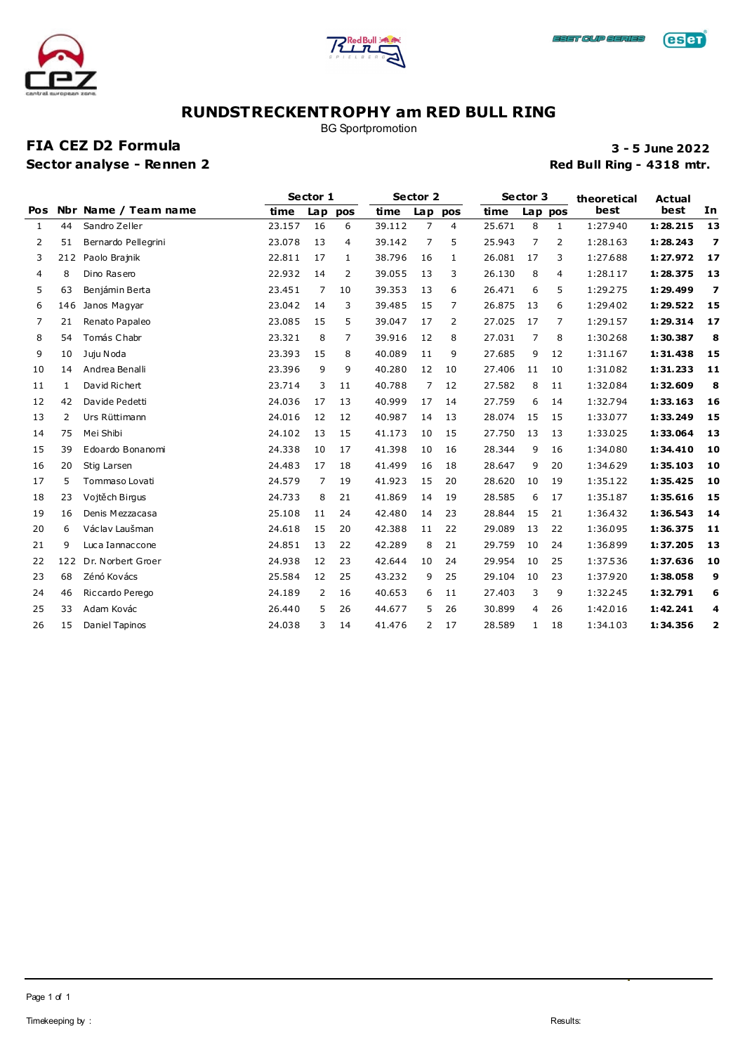



BG Sportpromotion

### **FIA CEZ D2 Formula 3 - 5 June 2022 Sector analyse - Rennen 2 Red Bull Ring - 4318 mtr.**

**eser** 

|            |     |                      |        | Sector 1 |     |        | Sector 2       |     |        | Sector 3     |              | theoretical | <b>Actual</b> |                         |
|------------|-----|----------------------|--------|----------|-----|--------|----------------|-----|--------|--------------|--------------|-------------|---------------|-------------------------|
| <b>Pos</b> |     | Nbr Name / Team name | time   | Lap      | pos | time   | Lap            | pos | time   |              | Lap pos      | <b>best</b> | best          | In                      |
| 1          | 44  | Sandro Zeller        | 23.157 | 16       | 6   | 39.112 | $\overline{7}$ | 4   | 25.671 | 8            | $\mathbf{1}$ | 1:27.940    | 1:28.215      | 13                      |
| 2          | 51  | Bernardo Pellegrini  | 23.078 | 13       | 4   | 39.142 | 7              | 5   | 25.943 | 7            | 2            | 1:28.163    | 1:28.243      | $\overline{\mathbf{z}}$ |
| 3          | 212 | Paolo Brajnik        | 22.811 | 17       | 1   | 38.796 | 16             | 1   | 26.081 | 17           | 3            | 1:27.688    | 1:27.972      | 17                      |
| 4          | 8   | Dino Rasero          | 22.932 | 14       | 2   | 39.055 | 13             | 3   | 26.130 | 8            | 4            | 1:28.117    | 1:28.375      | 13                      |
| 5          | 63  | Benjámin Berta       | 23.451 | 7        | 10  | 39.353 | 13             | 6   | 26.471 | 6            | 5            | 1:29.275    | 1:29.499      | $\overline{z}$          |
| 6          | 146 | Janos Magyar         | 23.042 | 14       | 3   | 39.485 | 15             | 7   | 26.875 | 13           | 6            | 1:29.402    | 1:29.522      | 15                      |
| 7          | 21  | Renato Papaleo       | 23.085 | 15       | 5   | 39.047 | 17             | 2   | 27.025 | 17           | 7            | 1:29.157    | 1:29.314      | 17                      |
| 8          | 54  | Tomás Chabr          | 23.321 | 8        | 7   | 39.916 | 12             | 8   | 27.031 | 7            | 8            | 1:30.268    | 1:30.387      | 8                       |
| 9          | 10  | Juju Noda            | 23.393 | 15       | 8   | 40.089 | 11             | 9   | 27.685 | 9            | 12           | 1:31.167    | 1:31.438      | 15                      |
| 10         | 14  | Andrea Benalli       | 23.396 | 9        | 9   | 40.280 | 12             | 10  | 27.406 | 11           | 10           | 1:31.082    | 1:31.233      | 11                      |
| 11         | 1   | David Richert        | 23.714 | 3        | 11  | 40.788 | 7              | 12  | 27.582 | 8            | 11           | 1:32.084    | 1:32.609      | 8                       |
| 12         | 42  | Davide Pedetti       | 24.036 | 17       | 13  | 40.999 | 17             | 14  | 27.759 | 6            | 14           | 1:32.794    | 1:33.163      | 16                      |
| 13         | 2   | Urs Rüttimann        | 24.016 | 12       | 12  | 40.987 | 14             | 13  | 28.074 | 15           | 15           | 1:33.077    | 1:33.249      | 15                      |
| 14         | 75  | Mei Shibi            | 24.102 | 13       | 15  | 41.173 | 10             | 15  | 27.750 | 13           | 13           | 1:33.025    | 1:33.064      | 13                      |
| 15         | 39  | Edoardo Bonanomi     | 24.338 | 10       | 17  | 41.398 | 10             | 16  | 28.344 | 9            | 16           | 1:34.080    | 1:34.410      | 10                      |
| 16         | 20  | Stig Larsen          | 24.483 | 17       | 18  | 41.499 | 16             | 18  | 28.647 | 9            | 20           | 1:34.629    | 1:35.103      | 10                      |
| 17         | 5   | Tommaso Lovati       | 24.579 | 7        | 19  | 41.923 | 15             | 20  | 28.620 | 10           | 19           | 1:35.122    | 1:35.425      | 10                      |
| 18         | 23  | Vojtěch Birqus       | 24.733 | 8        | 21  | 41.869 | 14             | 19  | 28.585 | 6            | 17           | 1:35.187    | 1:35.616      | 15                      |
| 19         | 16  | Denis Mezzacasa      | 25.108 | 11       | 24  | 42.480 | 14             | 23  | 28.844 | 15           | 21           | 1:36.432    | 1:36.543      | 14                      |
| 20         | 6   | Václav Laušman       | 24.618 | 15       | 20  | 42.388 | 11             | 22  | 29.089 | 13           | 22           | 1:36.095    | 1:36.375      | 11                      |
| 21         | 9   | Luca Iannaccone      | 24.851 | 13       | 22  | 42.289 | 8              | 21  | 29.759 | 10           | 24           | 1:36.899    | 1:37.205      | 13                      |
| 22         | 122 | Dr. Norbert Groer    | 24.938 | 12       | 23  | 42.644 | 10             | 24  | 29.954 | 10           | 25           | 1:37.536    | 1:37.636      | 10                      |
| 23         | 68  | Zénó Kovács          | 25.584 | 12       | 25  | 43.232 | 9              | 25  | 29.104 | 10           | 23           | 1:37.920    | 1:38.058      | 9                       |
| 24         | 46  | Riccardo Perego      | 24.189 | 2        | 16  | 40.653 | 6              | 11  | 27.403 | 3            | 9            | 1:32.245    | 1:32.791      | 6                       |
| 25         | 33  | Adam Kovác           | 26.440 | 5        | 26  | 44.677 | 5              | 26  | 30.899 | 4            | 26           | 1:42.016    | 1:42.241      | 4                       |
| 26         | 15  | Daniel Tapinos       | 24.038 | 3        | 14  | 41.476 | 2              | 17  | 28.589 | $\mathbf{1}$ | 18           | 1:34.103    | 1:34.356      | 2                       |
|            |     |                      |        |          |     |        |                |     |        |              |              |             |               |                         |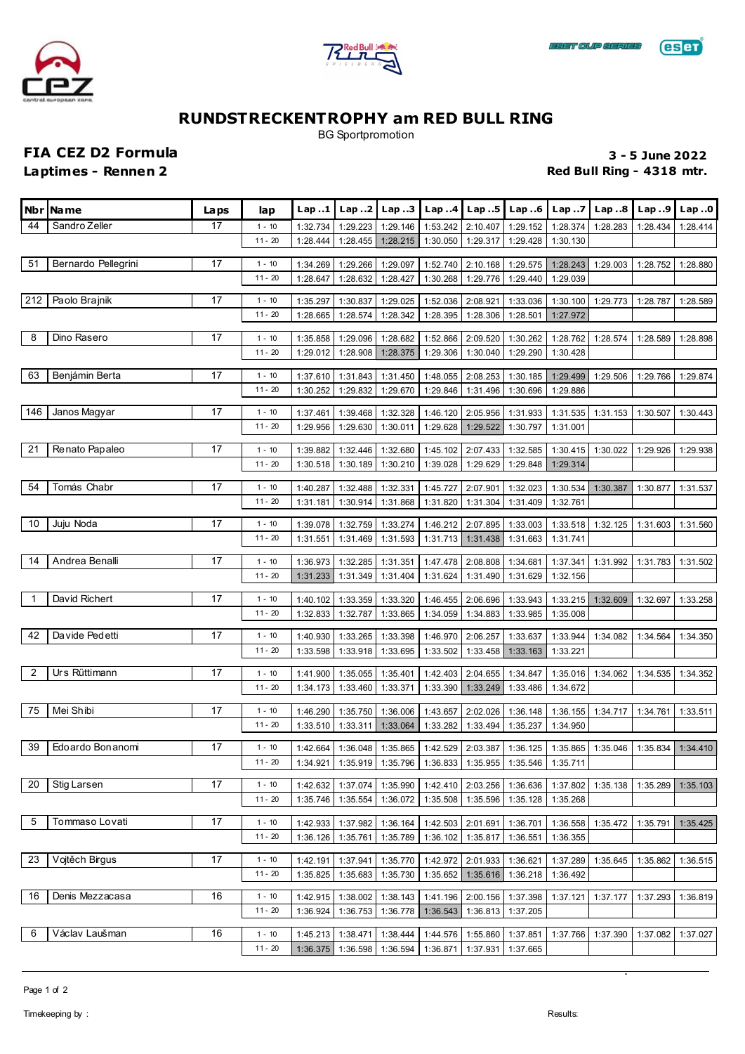





BG Sportpromotion

**FIA CEZ D2 Formula 3 - 5 June 2022**

**Laptimes - Rennen 2 Red Bull Ring - 4318 mtr.** 

|                | Nbr   Name          | <b>Laps</b> | lap                   | Lap1                 | Lap2                 |                                                       | Lap3   Lap4   Lap5   |                                | Lap.6                | Lap. .7              | Lap. .8           | Lap.9    | Lap.0    |
|----------------|---------------------|-------------|-----------------------|----------------------|----------------------|-------------------------------------------------------|----------------------|--------------------------------|----------------------|----------------------|-------------------|----------|----------|
| 44             | Sandro Zeller       | 17          | $1 - 10$              | 1:32.734             | 1:29.223             | 1:29.146                                              | 1:53.242             | 2:10.407                       | 1:29.152             | 1:28.374             | 1:28.283          | 1:28.434 | 1:28.414 |
|                |                     |             | $11 - 20$             | 1:28.444             | 1:28.455             | 1:28.215                                              | 1:30.050             | 1:29.317                       | 1:29.428             | 1:30.130             |                   |          |          |
| 51             | Bernardo Pellegrini | 17          | $1 - 10$              | 1:34.269             | 1:29.266             | 1:29.097                                              | 1:52.740             | 2:10.168                       | 1:29.575             | 1:28.243             | 1:29.003          | 1:28.752 | 1:28.880 |
|                |                     |             | $11 - 20$             | 1:28.647             | 1:28.632             | 1:28.427                                              | 1:30.268             | 1:29.776                       | 1:29.440             | 1:29.039             |                   |          |          |
| 212            | Paolo Brajnik       | 17          | $1 - 10$              |                      |                      |                                                       |                      |                                |                      |                      |                   |          |          |
|                |                     |             | $11 - 20$             | 1:35.297<br>1:28.665 | 1:30.837<br>1:28.574 | 1:29.025<br>1:28.342                                  | 1:52.036<br>1:28.395 | 2:08.921<br>1:28.306           | 1:33.036<br>1:28.501 | 1:30.100<br>1:27.972 | 1:29.773          | 1:28.787 | 1:28.589 |
|                |                     |             |                       |                      |                      |                                                       |                      |                                |                      |                      |                   |          |          |
| 8              | Dino Rasero         | 17          | $1 - 10$              | 1:35.858             | 1:29.096             | 1:28.682                                              | 1:52.866             | 2:09.520                       | 1:30.262             | 1:28.762             | 1:28.574          | 1:28.589 | 1:28.898 |
|                |                     |             | $11 - 20$             | 1:29.012             | 1:28.908             | 1:28.375                                              | 1:29.306             | 1:30.040                       | 1:29.290             | 1:30.428             |                   |          |          |
| 63             | Benjámin Berta      | 17          | $1 - 10$              | 1:37.610             | 1:31.843             | 1:31.450                                              | 1:48.055             | 2:08.253                       | 1:30.185             | 1:29.499             | 1:29.506          | 1:29.766 | 1:29.874 |
|                |                     |             | $11 - 20$             | 1:30.252             | 1:29.832             | 1:29.670                                              | 1:29.846             | 1:31.496                       | 1:30.696             | 1:29.886             |                   |          |          |
| 146            | Janos Magyar        | 17          | $1 - 10$              | 1:37.461             | 1:39.468             | 1:32.328                                              | 1:46.120             | 2:05.956                       | 1:31.933             | 1:31.535             | 1:31.153          | 1:30.507 | 1:30.443 |
|                |                     |             | $11 - 20$             | 1:29.956             | 1:29.630             | 1:30.011                                              | 1:29.628             | 1:29.522                       | 1:30.797             | 1:31.001             |                   |          |          |
| 21             | Renato Papaleo      | 17          | $1 - 10$              | 1:39.882             | 1:32.446             | 1:32.680                                              | 1:45.102             | 2:07.433                       | 1:32.585             | 1:30.415             | 1:30.022          | 1:29.926 | 1:29.938 |
|                |                     |             | $11 - 20$             | 1:30.518             | 1:30.189             | 1:30.210                                              | 1:39.028             | 1:29.629                       | 1:29.848             | 1:29.314             |                   |          |          |
|                |                     |             |                       |                      |                      |                                                       |                      |                                |                      |                      |                   |          |          |
| 54             | Tomás Chabr         | 17          | $1 - 10$              | 1:40.287             | 1:32.488             | 1:32.331                                              | 1:45.727             | 2:07.901                       | 1:32.023             | 1:30.534             | 1:30.387          | 1:30.877 | 1:31.537 |
|                |                     |             | $11 - 20$             | 1:31.181             | 1:30.914             | 1:31.868                                              | 1:31.820             | 1:31.304                       | 1:31.409             | 1:32.761             |                   |          |          |
| 10             | Juju Noda           | 17          | $1 - 10$              | 1:39.078             | 1:32.759             | 1:33.274                                              | 1:46.212             | 2:07.895                       | 1:33.003             | 1:33.518             | 1:32.125          | 1:31.603 | 1:31.560 |
|                |                     |             | $11 - 20$             | 1:31.551             | 1:31.469             | 1:31.593                                              | 1:31.713             | 1:31.438                       | 1:31.663             | 1:31.741             |                   |          |          |
| 14             | Andrea Benalli      | 17          | $1 - 10$              | 1:36.973             | 1:32.285             | 1:31.351                                              | 1:47.478             | 2:08.808                       | 1:34.681             | 1:37.341             | 1:31.992          | 1:31.783 | 1:31.502 |
|                |                     |             | $11 - 20$             | 1:31.233             | 1:31.349             | 1:31.404                                              | 1:31.624             | 1:31.490                       | 1:31.629             | 1:32.156             |                   |          |          |
| $\overline{1}$ | David Richert       | 17          | $1 - 10$              | 1:40.102             | 1:33.359             | 1:33.320                                              | 1:46.455             | 2:06.696                       | 1:33.943             | 1:33.215             | 1:32.609          | 1:32.697 | 1:33.258 |
|                |                     |             | $11 - 20$             | 1:32.833             | 1:32.787             | 1:33.865                                              | 1:34.059             | 1:34.883                       | 1:33.985             | 1:35.008             |                   |          |          |
|                | Da vide Ped etti    | 17          |                       |                      |                      |                                                       |                      |                                |                      |                      |                   |          |          |
| 42             |                     |             | $1 - 10$<br>$11 - 20$ | 1:40.930             | 1:33.265             | 1:33.398                                              | 1:46.970             | 2:06.257                       | 1:33.637             | 1:33.944             | 1:34.082          | 1:34.564 | 1:34.350 |
|                |                     |             |                       | 1:33.598             | 1:33.918             | 1:33.695                                              | 1:33.502             | 1:33.458                       | 1:33.163             | 1:33.221             |                   |          |          |
| $\overline{2}$ | Urs Rüttimann       | 17          | $1 - 10$              | 1:41.900             | 1:35.055             | 1:35.401                                              | 1:42.403             | 2:04.655                       | 1:34.847             | 1:35.016             | 1:34.062          | 1:34.535 | 1:34.352 |
|                |                     |             | $11 - 20$             | 1:34.173             | 1:33.460             | 1:33.371                                              | 1:33.390             | 1:33.249                       | 1:33.486             | 1:34.672             |                   |          |          |
| 75             | Mei Shibi           | 17          | $1 - 10$              | 1:46.290             | 1:35.750             | 1:36.006                                              | 1:43.657             | 2:02.026                       | 1:36.148             | 1:36.155             | 1:34.717          | 1:34.761 | 1:33.511 |
|                |                     |             | $11 - 20$             | 1:33.510             | 1:33.311             | 1:33.064                                              | 1:33.282             | 1:33.494                       | 1:35.237             | 1:34.950             |                   |          |          |
| 39             | Edoardo Bonanomi    | 17          | $1 - 10$              | 1:42.664             | 1:36.048             | 1:35.865                                              | 1:42.529             | 2:03.387                       | 1:36.125             | 1:35.865             | 1:35.046          | 1:35.834 | 1:34.410 |
|                |                     |             | $11 - 20$             |                      |                      | 1:34.921 1:35.919 1:35.796 1:36.833 1:35.955 1:35.546 |                      |                                |                      | 1:35.711             |                   |          |          |
| 20             | Stig Larsen         | 17          | $1 - 10$              | 1:42.632             | 1:37.074             | 1:35.990                                              |                      | 1:42.410 2:03.256              | 1:36.636             | 1:37.802             | 1:35.138          | 1:35.289 | 1:35.103 |
|                |                     |             | $11 - 20$             | 1:35.746             | 1:35.554             | 1:36.072                                              |                      | 1:35.508 1:35.596              | 1:35.128             | 1:35.268             |                   |          |          |
|                |                     |             |                       |                      |                      |                                                       |                      |                                |                      |                      |                   |          |          |
| 5              | Tommaso Lovati      | 17          | $1 - 10$              | 1:42.933             | 1:37.982             | 1:36.164                                              | 1:42.503             | 2:01.691                       | 1:36.701             | 1:36.558             | 1:35.472          | 1:35.791 | 1:35.425 |
|                |                     |             | $11 - 20$             | 1:36.126             | 1:35.761             | 1:35.789                                              | 1:36.102             | 1:35.817                       | 1:36.551             | 1:36.355             |                   |          |          |
| 23             | Vojtěch Birgus      | 17          | $1 - 10$              | 1:42.191             | 1:37.941             | 1:35.770                                              | 1:42.972             | 2:01.933                       | 1:36.621             | 1:37.289             | 1:35.645          | 1:35.862 | 1:36.515 |
|                |                     |             | $11 - 20$             | 1:35.825             | 1:35.683             | 1:35.730                                              |                      | 1:35.652 1:35.616              | 1:36.218             | 1:36.492             |                   |          |          |
| 16             | Denis Mezzacasa     | 16          | $1 - 10$              | 1:42.915             | 1:38.002             | 1:38.143                                              | 1:41.196             | 2:00.156                       | 1:37.398             | 1:37.121             | 1:37.177          | 1:37.293 | 1:36.819 |
|                |                     |             | $11 - 20$             | 1:36.924             | 1:36.753             | 1:36.778                                              | 1:36.543             | 1:36.813                       | 1:37.205             |                      |                   |          |          |
| 6              | Václav Laušman      | 16          | $1 - 10$              | 1:45.213             | 1:38.471             | 1:38.444                                              | 1:44.576             | 1:55.860                       | 1:37.851             |                      | 1:37.766 1:37.390 | 1:37.082 | 1:37.027 |
|                |                     |             | $11 - 20$             | 1:36.375             | 1:36.598             | 1:36.594                                              |                      | 1:36.871   1:37.931   1:37.665 |                      |                      |                   |          |          |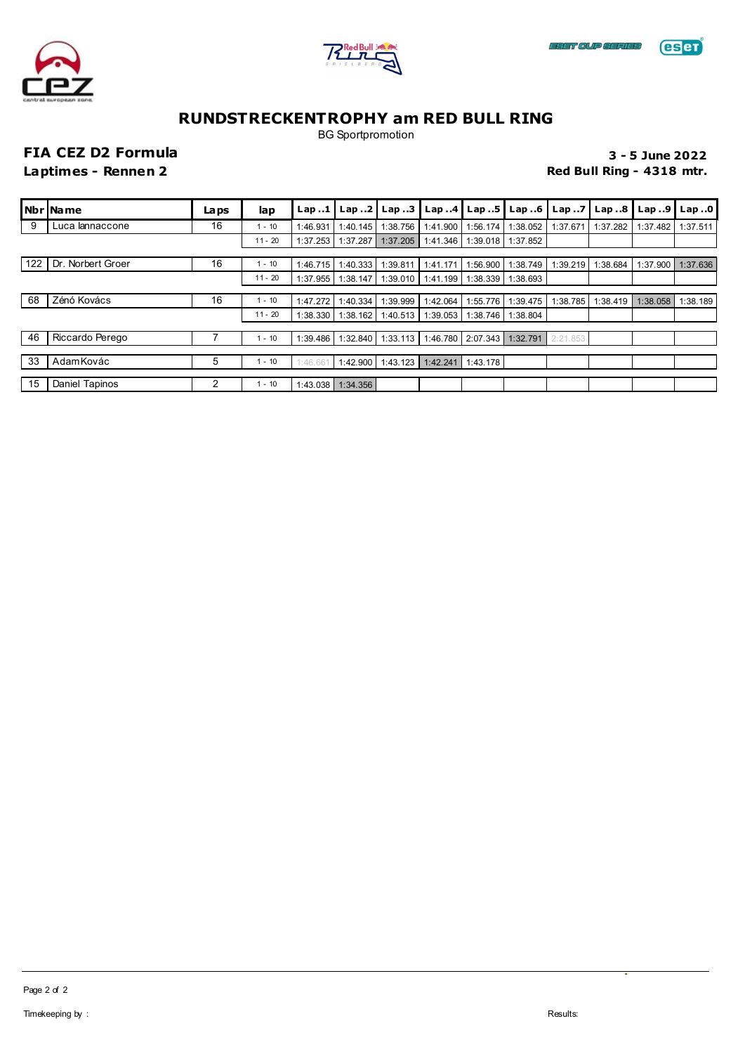





BG Sportpromotion

### **FIA CEZ D2 Formula 3 - 5 June 2022 Laptimes - Rennen 2 Red Bull Ring - 4318 mtr.**

|     | Nbr   Name        | La ps | lap       | Lap.1    |          | Lap2 Lap3 | Lap.4                   | Lap $.5$ $\vert$                    | Lap.6             | Lap.7    |          | $\lfloor$ Lap 8 $\lfloor$ Lap 9 $\lfloor$ | Lap0     |
|-----|-------------------|-------|-----------|----------|----------|-----------|-------------------------|-------------------------------------|-------------------|----------|----------|-------------------------------------------|----------|
| 9   | Luca lannaccone   | 16    | $1 - 10$  | 1:46.931 | 1:40.145 | 1:38.756  | 1:41.900                | 1:56.174                            | 1:38.052          | 1:37.671 | 1:37.282 | 1:37.482                                  | 1:37.511 |
|     |                   |       | $11 - 20$ | 1:37.253 | 1:37.287 | 1:37.205  | 1:41.346                |                                     | 1:39.018 1:37.852 |          |          |                                           |          |
|     |                   |       |           |          |          |           |                         |                                     |                   |          |          |                                           |          |
| 122 | Dr. Norbert Groer | 16    | $1 - 10$  | 1:46.715 | 1:40.333 | 1:39.811  | 1:41.171                | 1:56.900                            | 1:38.749          | 1:39.219 | 1:38.684 | 1:37.900                                  | 1:37.636 |
|     |                   |       | $11 - 20$ | 1:37.955 | 1:38.147 |           | 1:39.010   1:41.199     |                                     | 1:38.339 1:38.693 |          |          |                                           |          |
|     |                   |       |           |          |          |           |                         |                                     |                   |          |          |                                           |          |
| 68  | Zénó Kovács       | 16    | $1 - 10$  | 1:47.272 | 1:40.334 | 1:39.999  | 1:42.064                | 1:55.776                            | 1:39.475          | 1:38.785 | 1:38.419 | 1:38.058                                  | 1:38.189 |
|     |                   |       | $11 - 20$ | 1:38.330 | 1:38.162 |           | $1:40.513$   $1:39.053$ |                                     | 1:38.746 1:38.804 |          |          |                                           |          |
|     |                   |       |           |          |          |           |                         |                                     |                   |          |          |                                           |          |
| 46  | Riccardo Perego   |       | 1 - 10    | 1:39.486 | 1:32.840 |           |                         | 1:33.113 1:46.780 2:07.343 1:32.791 |                   | 2:21.853 |          |                                           |          |
|     |                   |       |           |          |          |           |                         |                                     |                   |          |          |                                           |          |
| 33  | Adam Kovác        | 5     | 1 - 10    | 1:46.661 | 1:42.900 |           | $1:43.123$ 1:42.241     | 1:43.178                            |                   |          |          |                                           |          |
|     |                   |       |           |          |          |           |                         |                                     |                   |          |          |                                           |          |
| 15  | Daniel Tapinos    | 2     | 1 - 10    | 1:43.038 | 1:34.356 |           |                         |                                     |                   |          |          |                                           |          |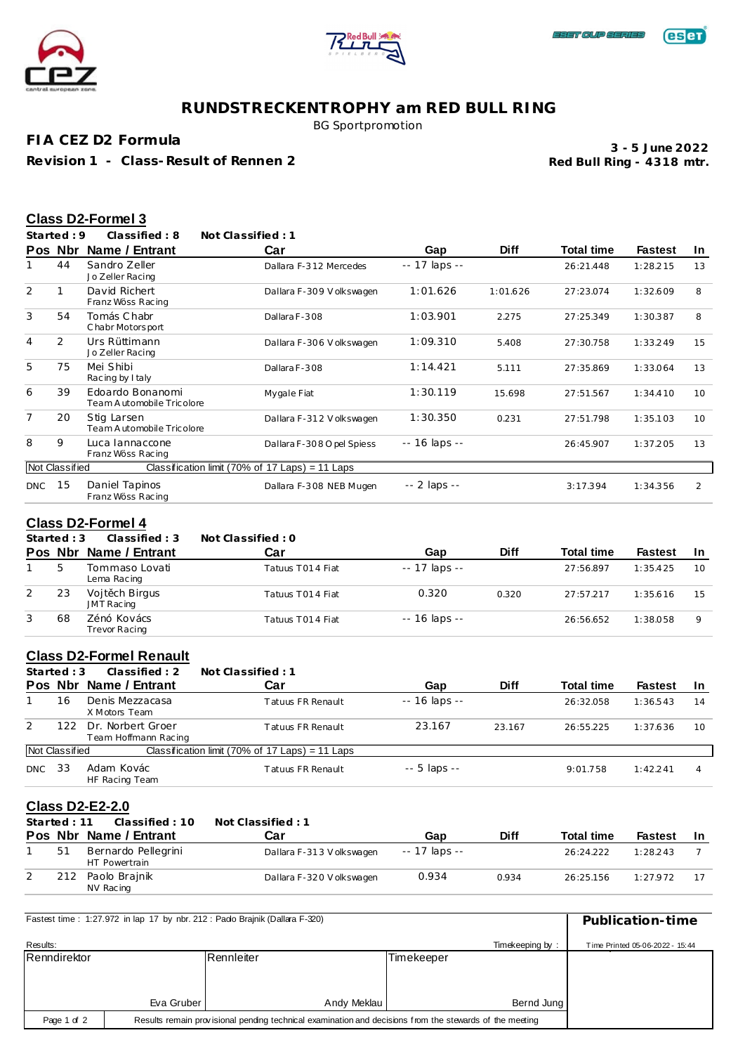



### **eser**

### **RUNDSTRECKENTROPHY am RED BULL RING**

BG Sportpromotion

**FIA CEZ D2 Formula**

**Revision 1 - Class-Result of Rennen 2**

**Red Bull Ring - 4318 mtr. 3 - 5 June 2022**

### **Class D2-Formel 3**

**Started : 9 Classified : 8 Not Classified : 1**

|                | Pos Nbr        | Name / Entrant                                | Car                                             | Gap           | <b>Diff</b> | <b>Total time</b> | <b>Fastest</b> | In.             |
|----------------|----------------|-----------------------------------------------|-------------------------------------------------|---------------|-------------|-------------------|----------------|-----------------|
|                | 44             | Sandro Zeller<br>Jo Zeller Racing             | Dallara F-312 Mercedes                          | -- 17 laps -- |             | 26:21.448         | 1:28.215       | 13              |
| $\overline{2}$ |                | David Richert<br>Franz Wöss Racing            | Dallara F-309 Volkswagen                        | 1:01.626      | 1:01.626    | 27:23.074         | 1:32.609       | 8               |
| 3              | 54             | Tomás Chabr<br>Chabr Motorsport               | Dallara F-308                                   | 1:03.901      | 2.275       | 27:25.349         | 1:30.387       | 8               |
| 4              | $\overline{2}$ | Urs Rüttimann<br>Jo Zeller Racing             | Dallara F-306 V olkswagen                       | 1:09.310      | 5.408       | 27:30.758         | 1:33.249       | 15              |
| 5              | 75             | Mei Shibi<br>Racing by I taly                 | Dallara F-308                                   | 1:14.421      | 5.111       | 27:35.869         | 1:33.064       | 13              |
| 6              | 39             | Edoardo Bonanomi<br>Team Automobile Tricolore | Mygale Fiat                                     | 1:30.119      | 15.698      | 27:51.567         | 1:34.410       | 10 <sup>2</sup> |
| $\overline{7}$ | 20             | Stig Larsen<br>Team Automobile Tricolore      | Dallara F-312 Volkswagen                        | 1:30.350      | 0.231       | 27:51.798         | 1:35.103       | 10 <sup>1</sup> |
| 8              | 9              | Luca lannaccone<br>Franz Wöss Racing          | Dallara F-308 O pel Spiess                      | -- 16 laps -- |             | 26:45.907         | 1:37.205       | 13              |
|                | Not Classified |                                               | Classification limit (70% of 17 Laps) = 11 Laps |               |             |                   |                |                 |
| DNC            | 15             | Daniel Tapinos<br>Franz Wöss Racing           | Dallara F-308 NEB Mugen                         | -- 2 laps --  |             | 3:17.394          | 1:34.356       | 2               |

### **Class D2-Formel 4**

**Started : 3 Classified : 3 Not Classified : 0**

|   |    | Pos Nbr Name / Entrant        | Car              | Gap           | <b>Diff</b> | <b>Total time</b> | <b>Fastest</b> | -In |
|---|----|-------------------------------|------------------|---------------|-------------|-------------------|----------------|-----|
|   |    | Tommaso Lovati<br>Lema Racing | Tatuus T014 Fiat | -- 17 laps -- |             | 27:56.897         | 1:35.425       | 10  |
| 2 | 23 | Vojt ch Birgus<br>JMT Racing  | Tatuus T014 Fiat | 0.320         | 0.320       | 27:57.217         | 1:35.616       | 15  |
| 3 | 68 | Zénó Kovács<br>Trevor Racing  | Tatuus T014 Fiat | -- 16 laps -- |             | 26:56.652         | 1:38.058       |     |

### **Class D2-Formel Renault**

|            | Started : $3$  | Classified: 2                             | Not Classified: 1                               |                     |             |            |                |           |
|------------|----------------|-------------------------------------------|-------------------------------------------------|---------------------|-------------|------------|----------------|-----------|
|            |                | Pos Nbr Name / Entrant                    | Car                                             | Gap                 | <b>Diff</b> | Total time | <b>Fastest</b> | <b>In</b> |
|            | 16             | Denis Mezzacasa<br>X Motors Team          | Tatuus FR Renault                               | $- - 16$ laps $- -$ |             | 26:32.058  | 1:36.543       | 14        |
| 2          | 122            | Dr. Norbert Groer<br>Team Hoffmann Racing | Tatuus FR Renault                               | 23.167              | 23.167      | 26:55.225  | 1:37.636       | 10        |
|            | Not Classified |                                           | Classification limit (70% of 17 Laps) = 11 Laps |                     |             |            |                |           |
| <b>DNC</b> | 33             | Adam Kovác<br>HF Racing Team              | Tatuus FR Renault                               | $-5$ laps $-$       |             | 9:01.758   | 1:42.241       |           |

### **Class D2-E2-2.0**

| Started: 11 | Classified: 10                       | Not Classified: 1         |               |             |                   |                |     |
|-------------|--------------------------------------|---------------------------|---------------|-------------|-------------------|----------------|-----|
|             | Pos Nbr Name / Entrant               | Car                       | Gap           | <b>Diff</b> | <b>Total time</b> | <b>Fastest</b> | -In |
| 51          | Bernardo Pellegrini<br>HT Powertrain | Dallara F-313 V olkswagen | -- 17 laps -- |             | 26:24.222         | 1:28.243       |     |
| 212         | Paolo Brajnik<br>NV Racing           | Dallara F-320 Volkswagen  | 0.934         | 0.934       | 26:25.156         | 1:27.972       |     |

| Fastest time: 1:27.972 in lap 17 by nbr. 212: Pado Brainik (Dallara F-320)                                             | Publication-time |             |            |                 |                                 |
|------------------------------------------------------------------------------------------------------------------------|------------------|-------------|------------|-----------------|---------------------------------|
| Results:                                                                                                               |                  |             |            | Timekeeping by: | Time Printed 05-06-2022 - 15:44 |
| Renndirektor                                                                                                           |                  | Rennleiter  | Timekeeper |                 |                                 |
|                                                                                                                        |                  |             |            |                 |                                 |
|                                                                                                                        |                  |             |            |                 |                                 |
|                                                                                                                        | Eva Gruber       | Andy Meklau |            | Bernd Jung      |                                 |
| Results remain provisional pending technical examination and decisions from the stewards of the meeting<br>Page 1 of 2 |                  |             |            |                 |                                 |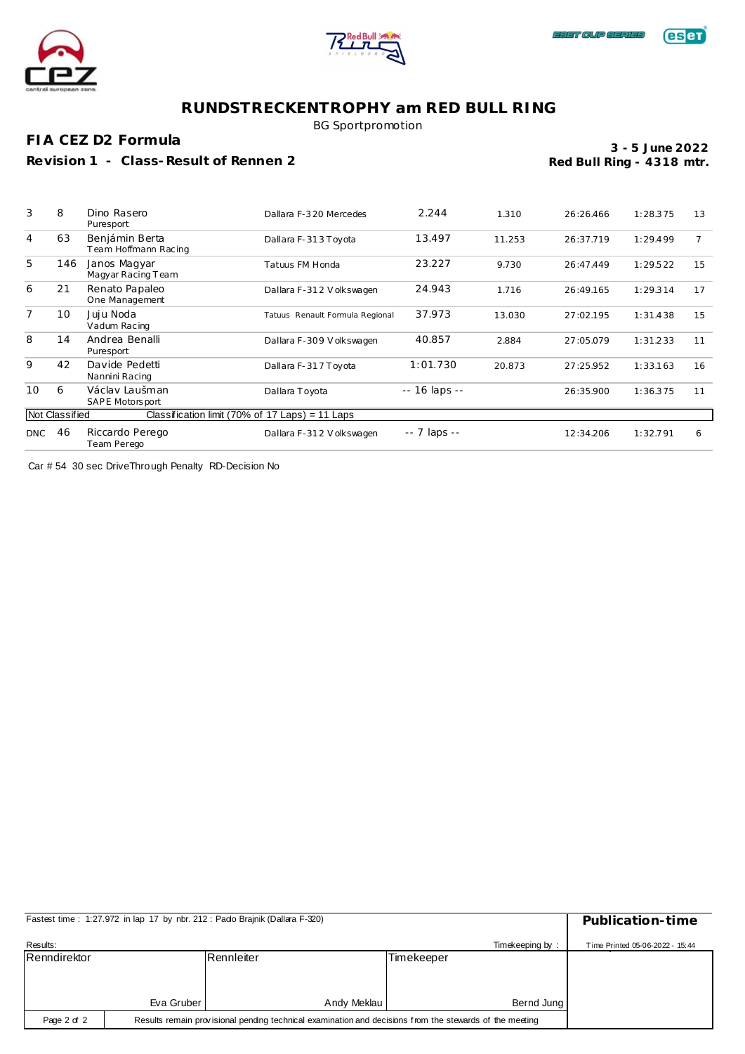



BG Sportpromotion

**FIA CEZ D2 Formula**

**Revision 1 - Class-Result of Rennen 2**

**Red Bull Ring - 4318 mtr. 3 - 5 June 2022**

| 3   | 8              | Dino Rasero<br>Puresport                        | Dallara F-320 Mercedes          | 2.244         | 1.310  | 26:26.466 | 1:28.375 | 13 |
|-----|----------------|-------------------------------------------------|---------------------------------|---------------|--------|-----------|----------|----|
| 4   | 63             | Benjámin Berta<br>Team Hoffmann Racing          | Dallara F-313 Toyota            | 13.497        | 11.253 | 26:37.719 | 1:29.499 |    |
| 5   | 146            | Janos Magyar<br>Magyar Racing Team              | Tatuus FM Honda                 | 23.227        | 9.730  | 26:47.449 | 1:29.522 | 15 |
| 6   | 21             | Renato Papaleo<br>One Management                | Dallara F-312 Volkswagen        | 24.943        | 1.716  | 26:49.165 | 1:29.314 | 17 |
| 7   | 10             | Juju Noda<br>Vadum Racing                       | Tatuus Renault Formula Regional | 37.973        | 13.030 | 27:02.195 | 1:31.438 | 15 |
| 8   | 14             | Andrea Benalli<br>Puresport                     | Dallara F-309 Volkswagen        | 40.857        | 2.884  | 27:05.079 | 1:31.233 | 11 |
| 9   | 42             | Davide Pedetti<br>Nannini Racing                | Dallara F-317 Toyota            | 1:01.730      | 20.873 | 27:25.952 | 1:33.163 | 16 |
| 10  | 6              | Václav Laušman<br>SAPE Motorsport               | Dallara Toyota                  | -- 16 laps -- |        | 26:35.900 | 1:36.375 | 11 |
|     | Not Classified | Classification limit (70% of 17 Laps) = 11 Laps |                                 |               |        |           |          |    |
| DNC | 46             | Riccardo Perego<br>Team Perego                  | Dallara F-312 Volkswagen        | -- 7 laps --  |        | 12:34.206 | 1:32.791 | 6  |

Car # 54 30 sec DriveThrough Penalty RD-Decision No

|              | Fastest time: 1:27.972 in lap 17 by nbr. 212: Pado Brajnik (Dallara F-320)                              |             |            |            |  |  |  |  |  |
|--------------|---------------------------------------------------------------------------------------------------------|-------------|------------|------------|--|--|--|--|--|
| Results:     | Time Printed 05-06-2022 - 15:44                                                                         |             |            |            |  |  |  |  |  |
| Renndirektor |                                                                                                         | Rennleiter  | Timekeeper |            |  |  |  |  |  |
|              |                                                                                                         |             |            |            |  |  |  |  |  |
|              |                                                                                                         |             |            |            |  |  |  |  |  |
|              | Eva Gruber                                                                                              | Andy Meklau |            | Bernd Jung |  |  |  |  |  |
| Page 2 of 2  | Results remain provisional pending technical examination and decisions from the stewards of the meeting |             |            |            |  |  |  |  |  |